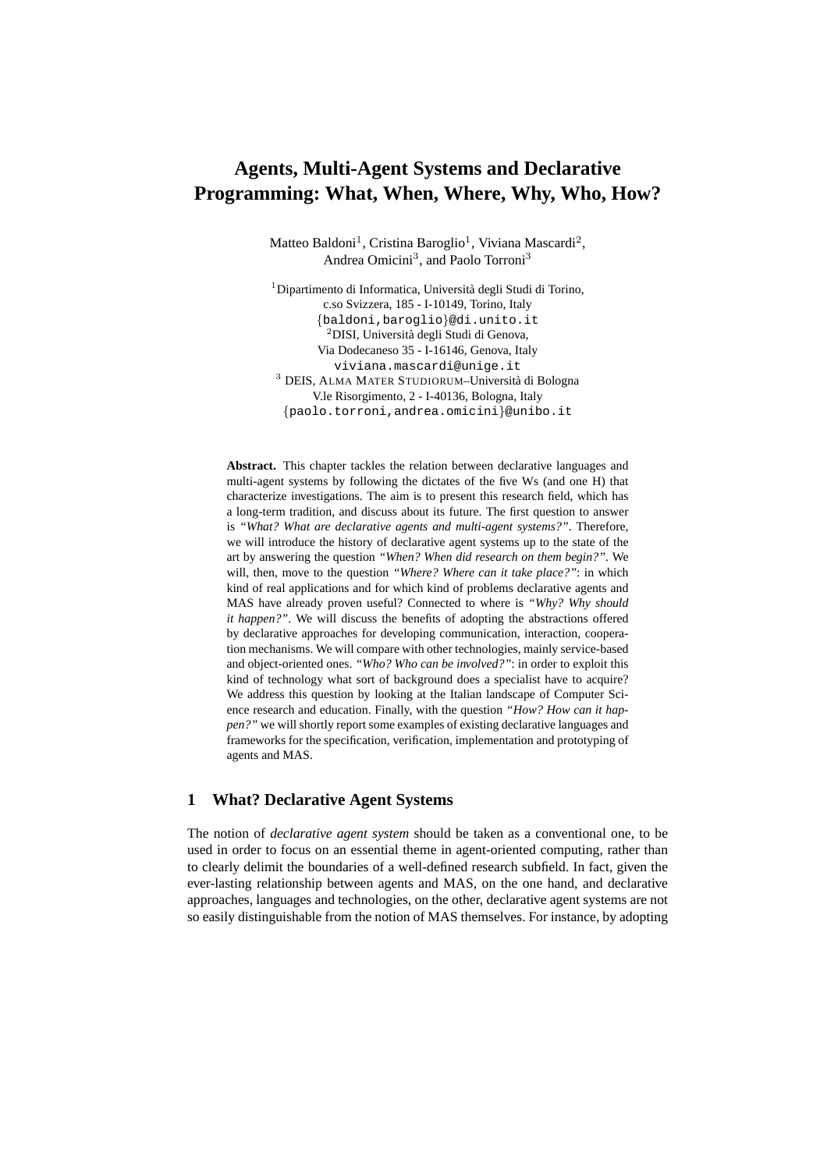# **Agents, Multi-Agent Systems and Declarative Programming: What, When, Where, Why, Who, How?**

Matteo Baldoni<sup>1</sup>, Cristina Baroglio<sup>1</sup>, Viviana Mascardi<sup>2</sup>, Andrea Omicini<sup>3</sup>, and Paolo Torroni<sup>3</sup>

 $1$ Dipartimento di Informatica, Università degli Studi di Torino, c.so Svizzera, 185 - I-10149, Torino, Italy {baldoni,baroglio}@di.unito.it  $2$ DISI, Università degli Studi di Genova, Via Dodecaneso 35 - I-16146, Genova, Italy viviana.mascardi@unige.it  $^3$  DEIS, ALMA MATER STUDIORUM–Università di Bologna V.le Risorgimento, 2 - I-40136, Bologna, Italy {paolo.torroni,andrea.omicini}@unibo.it

**Abstract.** This chapter tackles the relation between declarative languages and multi-agent systems by following the dictates of the five Ws (and one H) that characterize investigations. The aim is to present this research field, which has a long-term tradition, and discuss about its future. The first question to answer is *"What? What are declarative agents and multi-agent systems?"*. Therefore, we will introduce the history of declarative agent systems up to the state of the art by answering the question *"When? When did research on them begin?"*. We will, then, move to the question *"Where? Where can it take place?"*: in which kind of real applications and for which kind of problems declarative agents and MAS have already proven useful? Connected to where is *"Why? Why should it happen?"*. We will discuss the benefits of adopting the abstractions offered by declarative approaches for developing communication, interaction, cooperation mechanisms. We will compare with other technologies, mainly service-based and object-oriented ones. *"Who? Who can be involved?"*: in order to exploit this kind of technology what sort of background does a specialist have to acquire? We address this question by looking at the Italian landscape of Computer Science research and education. Finally, with the question *"How? How can it happen?"* we will shortly report some examples of existing declarative languages and frameworks for the specification, verification, implementation and prototyping of agents and MAS.

## **1 What? Declarative Agent Systems**

The notion of *declarative agent system* should be taken as a conventional one, to be used in order to focus on an essential theme in agent-oriented computing, rather than to clearly delimit the boundaries of a well-defined research subfield. In fact, given the ever-lasting relationship between agents and MAS, on the one hand, and declarative approaches, languages and technologies, on the other, declarative agent systems are not so easily distinguishable from the notion of MAS themselves. For instance, by adopting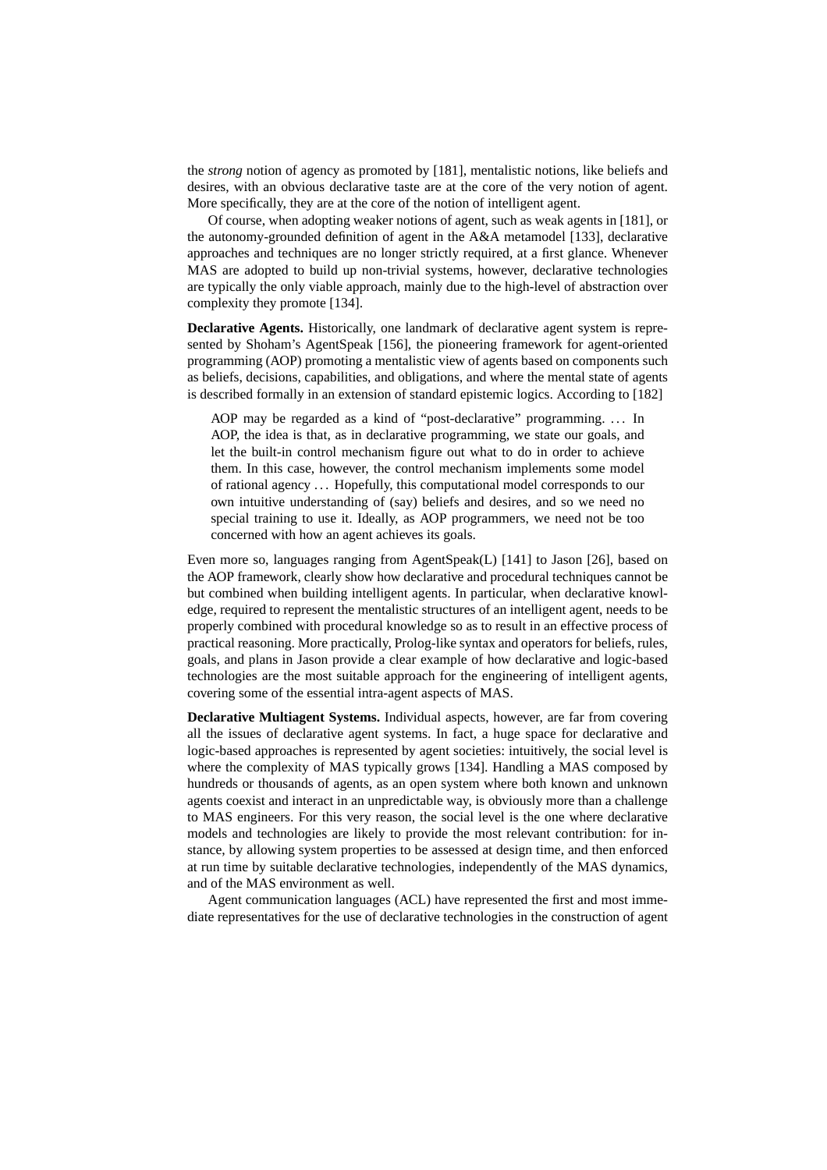the *strong* notion of agency as promoted by [181], mentalistic notions, like beliefs and desires, with an obvious declarative taste are at the core of the very notion of agent. More specifically, they are at the core of the notion of intelligent agent.

Of course, when adopting weaker notions of agent, such as weak agents in [181], or the autonomy-grounded definition of agent in the A&A metamodel [133], declarative approaches and techniques are no longer strictly required, at a first glance. Whenever MAS are adopted to build up non-trivial systems, however, declarative technologies are typically the only viable approach, mainly due to the high-level of abstraction over complexity they promote [134].

**Declarative Agents.** Historically, one landmark of declarative agent system is represented by Shoham's AgentSpeak [156], the pioneering framework for agent-oriented programming (AOP) promoting a mentalistic view of agents based on components such as beliefs, decisions, capabilities, and obligations, and where the mental state of agents is described formally in an extension of standard epistemic logics. According to [182]

AOP may be regarded as a kind of "post-declarative" programming. ... In AOP, the idea is that, as in declarative programming, we state our goals, and let the built-in control mechanism figure out what to do in order to achieve them. In this case, however, the control mechanism implements some model of rational agency . . . Hopefully, this computational model corresponds to our own intuitive understanding of (say) beliefs and desires, and so we need no special training to use it. Ideally, as AOP programmers, we need not be too concerned with how an agent achieves its goals.

Even more so, languages ranging from AgentSpeak(L) [141] to Jason [26], based on the AOP framework, clearly show how declarative and procedural techniques cannot be but combined when building intelligent agents. In particular, when declarative knowledge, required to represent the mentalistic structures of an intelligent agent, needs to be properly combined with procedural knowledge so as to result in an effective process of practical reasoning. More practically, Prolog-like syntax and operators for beliefs, rules, goals, and plans in Jason provide a clear example of how declarative and logic-based technologies are the most suitable approach for the engineering of intelligent agents, covering some of the essential intra-agent aspects of MAS.

**Declarative Multiagent Systems.** Individual aspects, however, are far from covering all the issues of declarative agent systems. In fact, a huge space for declarative and logic-based approaches is represented by agent societies: intuitively, the social level is where the complexity of MAS typically grows [134]. Handling a MAS composed by hundreds or thousands of agents, as an open system where both known and unknown agents coexist and interact in an unpredictable way, is obviously more than a challenge to MAS engineers. For this very reason, the social level is the one where declarative models and technologies are likely to provide the most relevant contribution: for instance, by allowing system properties to be assessed at design time, and then enforced at run time by suitable declarative technologies, independently of the MAS dynamics, and of the MAS environment as well.

Agent communication languages (ACL) have represented the first and most immediate representatives for the use of declarative technologies in the construction of agent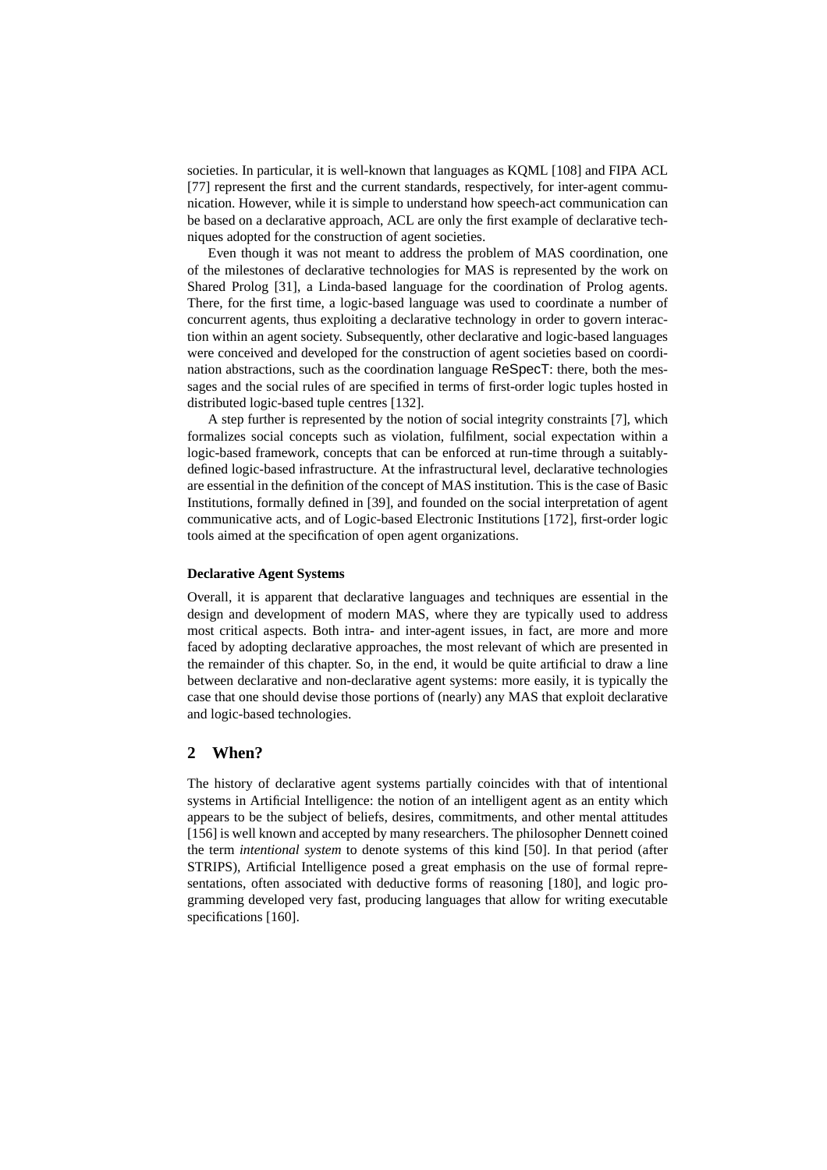societies. In particular, it is well-known that languages as KQML [108] and FIPA ACL [77] represent the first and the current standards, respectively, for inter-agent communication. However, while it is simple to understand how speech-act communication can be based on a declarative approach, ACL are only the first example of declarative techniques adopted for the construction of agent societies.

Even though it was not meant to address the problem of MAS coordination, one of the milestones of declarative technologies for MAS is represented by the work on Shared Prolog [31], a Linda-based language for the coordination of Prolog agents. There, for the first time, a logic-based language was used to coordinate a number of concurrent agents, thus exploiting a declarative technology in order to govern interaction within an agent society. Subsequently, other declarative and logic-based languages were conceived and developed for the construction of agent societies based on coordination abstractions, such as the coordination language ReSpecT: there, both the messages and the social rules of are specified in terms of first-order logic tuples hosted in distributed logic-based tuple centres [132].

A step further is represented by the notion of social integrity constraints [7], which formalizes social concepts such as violation, fulfilment, social expectation within a logic-based framework, concepts that can be enforced at run-time through a suitablydefined logic-based infrastructure. At the infrastructural level, declarative technologies are essential in the definition of the concept of MAS institution. This is the case of Basic Institutions, formally defined in [39], and founded on the social interpretation of agent communicative acts, and of Logic-based Electronic Institutions [172], first-order logic tools aimed at the specification of open agent organizations.

#### **Declarative Agent Systems**

Overall, it is apparent that declarative languages and techniques are essential in the design and development of modern MAS, where they are typically used to address most critical aspects. Both intra- and inter-agent issues, in fact, are more and more faced by adopting declarative approaches, the most relevant of which are presented in the remainder of this chapter. So, in the end, it would be quite artificial to draw a line between declarative and non-declarative agent systems: more easily, it is typically the case that one should devise those portions of (nearly) any MAS that exploit declarative and logic-based technologies.

## **2 When?**

The history of declarative agent systems partially coincides with that of intentional systems in Artificial Intelligence: the notion of an intelligent agent as an entity which appears to be the subject of beliefs, desires, commitments, and other mental attitudes [156] is well known and accepted by many researchers. The philosopher Dennett coined the term *intentional system* to denote systems of this kind [50]. In that period (after STRIPS), Artificial Intelligence posed a great emphasis on the use of formal representations, often associated with deductive forms of reasoning [180], and logic programming developed very fast, producing languages that allow for writing executable specifications [160].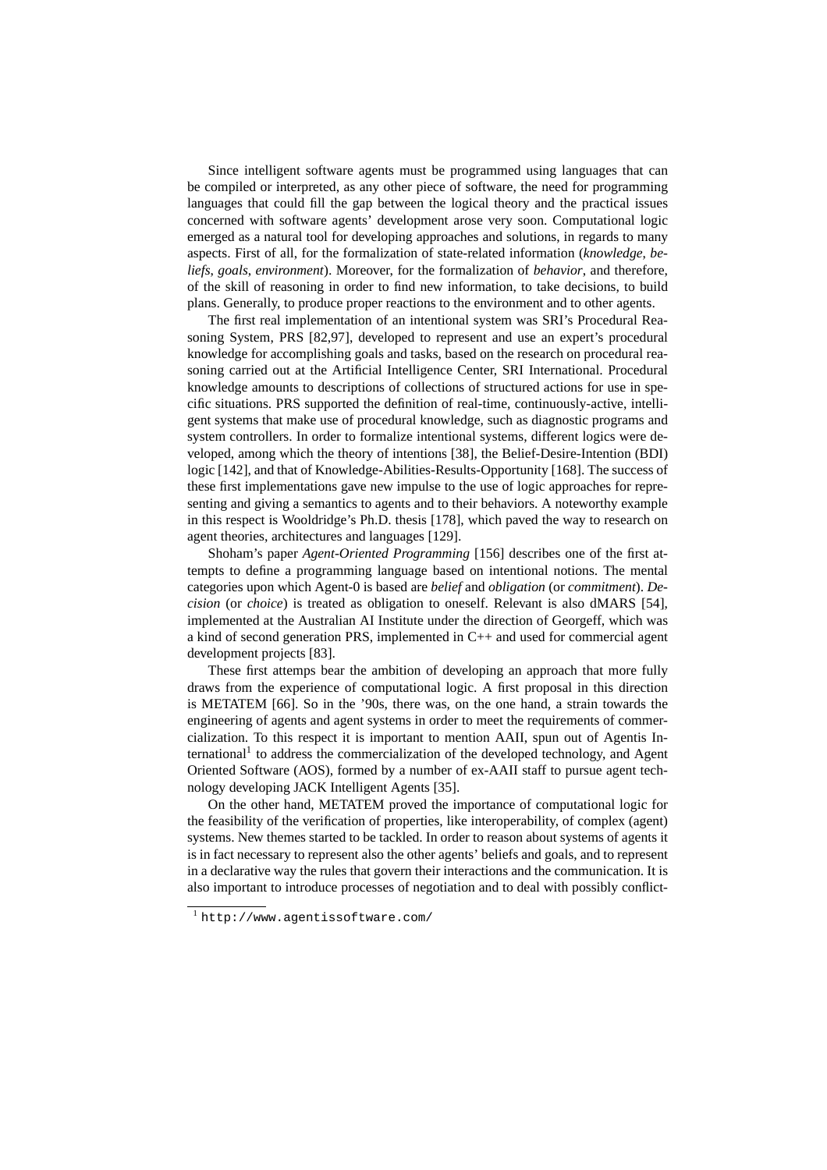Since intelligent software agents must be programmed using languages that can be compiled or interpreted, as any other piece of software, the need for programming languages that could fill the gap between the logical theory and the practical issues concerned with software agents' development arose very soon. Computational logic emerged as a natural tool for developing approaches and solutions, in regards to many aspects. First of all, for the formalization of state-related information (*knowledge*, *beliefs*, *goals*, *environment*). Moreover, for the formalization of *behavior*, and therefore, of the skill of reasoning in order to find new information, to take decisions, to build plans. Generally, to produce proper reactions to the environment and to other agents.

The first real implementation of an intentional system was SRI's Procedural Reasoning System, PRS [82,97], developed to represent and use an expert's procedural knowledge for accomplishing goals and tasks, based on the research on procedural reasoning carried out at the Artificial Intelligence Center, SRI International. Procedural knowledge amounts to descriptions of collections of structured actions for use in specific situations. PRS supported the definition of real-time, continuously-active, intelligent systems that make use of procedural knowledge, such as diagnostic programs and system controllers. In order to formalize intentional systems, different logics were developed, among which the theory of intentions [38], the Belief-Desire-Intention (BDI) logic [142], and that of Knowledge-Abilities-Results-Opportunity [168]. The success of these first implementations gave new impulse to the use of logic approaches for representing and giving a semantics to agents and to their behaviors. A noteworthy example in this respect is Wooldridge's Ph.D. thesis [178], which paved the way to research on agent theories, architectures and languages [129].

Shoham's paper *Agent-Oriented Programming* [156] describes one of the first attempts to define a programming language based on intentional notions. The mental categories upon which Agent-0 is based are *belief* and *obligation* (or *commitment*). *Decision* (or *choice*) is treated as obligation to oneself. Relevant is also dMARS [54], implemented at the Australian AI Institute under the direction of Georgeff, which was a kind of second generation PRS, implemented in C++ and used for commercial agent development projects [83].

These first attemps bear the ambition of developing an approach that more fully draws from the experience of computational logic. A first proposal in this direction is METATEM [66]. So in the '90s, there was, on the one hand, a strain towards the engineering of agents and agent systems in order to meet the requirements of commercialization. To this respect it is important to mention AAII, spun out of Agentis International<sup>1</sup> to address the commercialization of the developed technology, and Agent Oriented Software (AOS), formed by a number of ex-AAII staff to pursue agent technology developing JACK Intelligent Agents [35].

On the other hand, METATEM proved the importance of computational logic for the feasibility of the verification of properties, like interoperability, of complex (agent) systems. New themes started to be tackled. In order to reason about systems of agents it is in fact necessary to represent also the other agents' beliefs and goals, and to represent in a declarative way the rules that govern their interactions and the communication. It is also important to introduce processes of negotiation and to deal with possibly conflict-

<sup>1</sup> http://www.agentissoftware.com/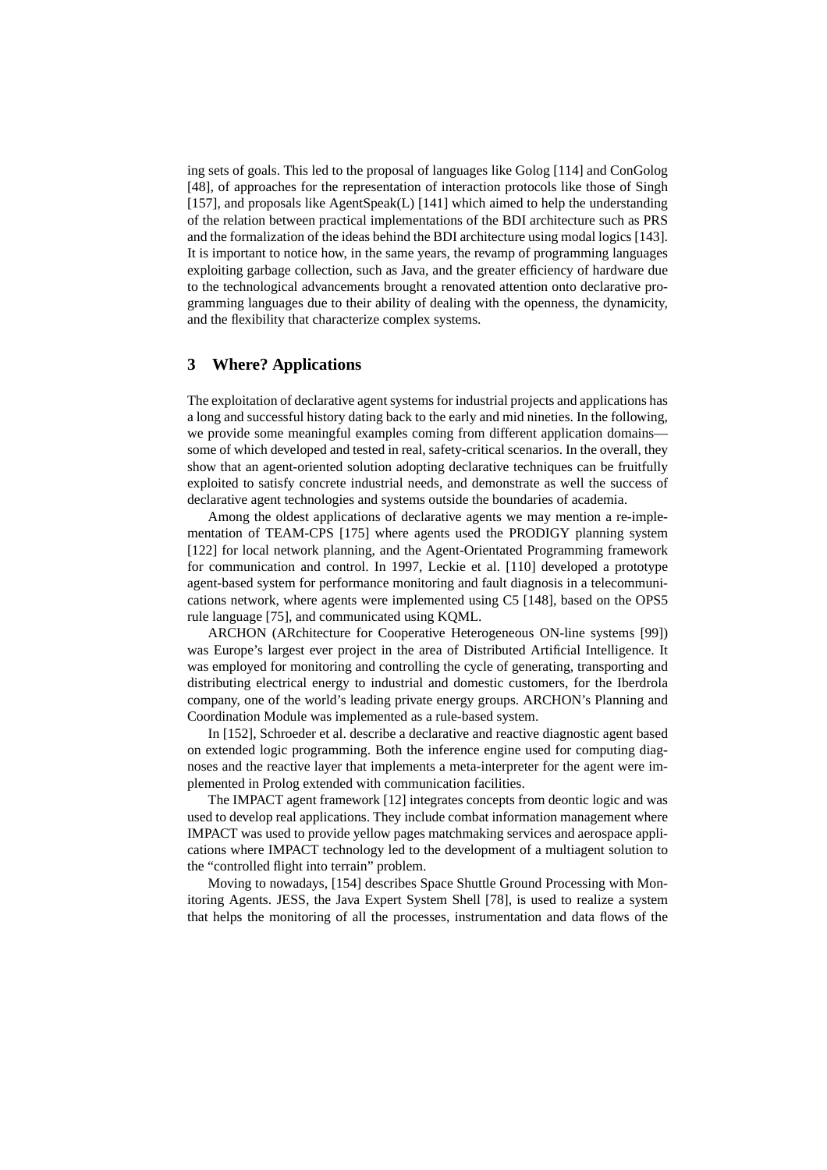ing sets of goals. This led to the proposal of languages like Golog [114] and ConGolog [48], of approaches for the representation of interaction protocols like those of Singh [157], and proposals like AgentSpeak(L) [141] which aimed to help the understanding of the relation between practical implementations of the BDI architecture such as PRS and the formalization of the ideas behind the BDI architecture using modal logics [143]. It is important to notice how, in the same years, the revamp of programming languages exploiting garbage collection, such as Java, and the greater efficiency of hardware due to the technological advancements brought a renovated attention onto declarative programming languages due to their ability of dealing with the openness, the dynamicity, and the flexibility that characterize complex systems.

#### **3 Where? Applications**

The exploitation of declarative agent systems for industrial projects and applications has a long and successful history dating back to the early and mid nineties. In the following, we provide some meaningful examples coming from different application domains– some of which developed and tested in real, safety-critical scenarios. In the overall, they show that an agent-oriented solution adopting declarative techniques can be fruitfully exploited to satisfy concrete industrial needs, and demonstrate as well the success of declarative agent technologies and systems outside the boundaries of academia.

Among the oldest applications of declarative agents we may mention a re-implementation of TEAM-CPS [175] where agents used the PRODIGY planning system [122] for local network planning, and the Agent-Orientated Programming framework for communication and control. In 1997, Leckie et al. [110] developed a prototype agent-based system for performance monitoring and fault diagnosis in a telecommunications network, where agents were implemented using C5 [148], based on the OPS5 rule language [75], and communicated using KQML.

ARCHON (ARchitecture for Cooperative Heterogeneous ON-line systems [99]) was Europe's largest ever project in the area of Distributed Artificial Intelligence. It was employed for monitoring and controlling the cycle of generating, transporting and distributing electrical energy to industrial and domestic customers, for the Iberdrola company, one of the world's leading private energy groups. ARCHON's Planning and Coordination Module was implemented as a rule-based system.

In [152], Schroeder et al. describe a declarative and reactive diagnostic agent based on extended logic programming. Both the inference engine used for computing diagnoses and the reactive layer that implements a meta-interpreter for the agent were implemented in Prolog extended with communication facilities.

The IMPACT agent framework [12] integrates concepts from deontic logic and was used to develop real applications. They include combat information management where IMPACT was used to provide yellow pages matchmaking services and aerospace applications where IMPACT technology led to the development of a multiagent solution to the "controlled flight into terrain" problem.

Moving to nowadays, [154] describes Space Shuttle Ground Processing with Monitoring Agents. JESS, the Java Expert System Shell [78], is used to realize a system that helps the monitoring of all the processes, instrumentation and data flows of the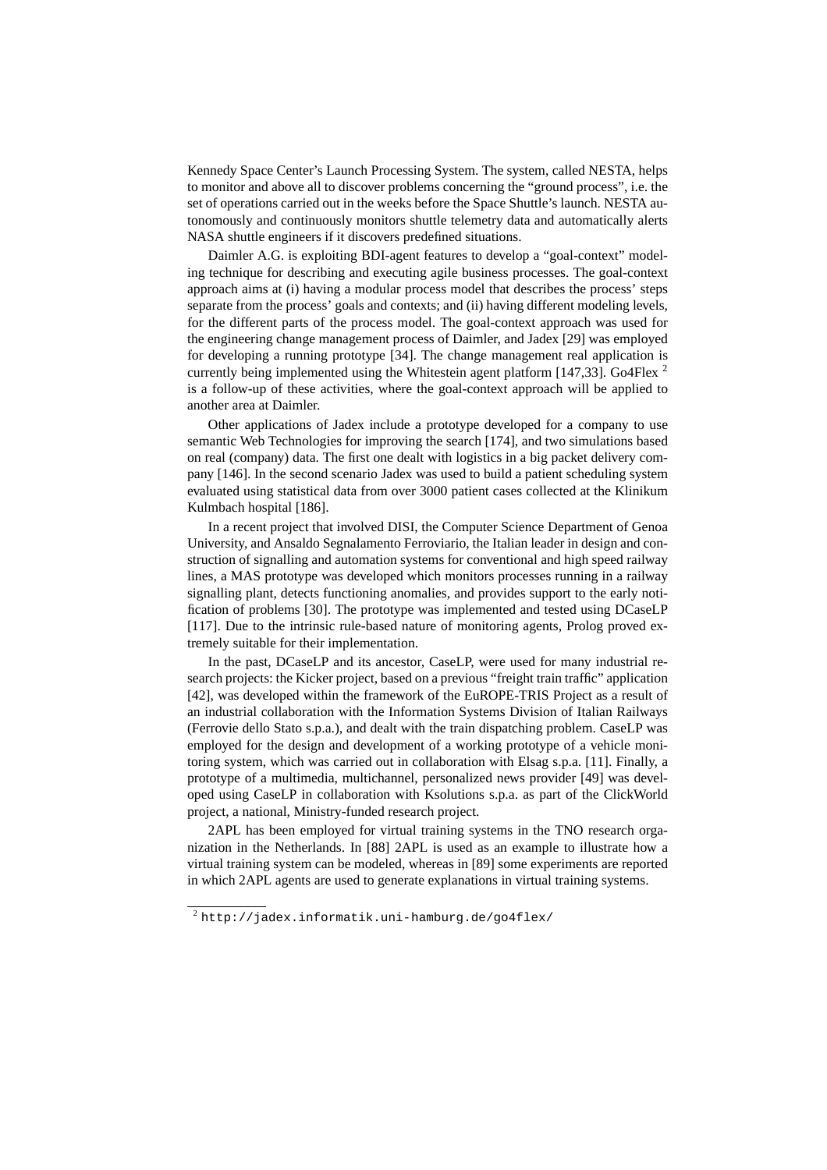Kennedy Space Center's Launch Processing System. The system, called NESTA, helps to monitor and above all to discover problems concerning the "ground process", i.e. the set of operations carried out in the weeks before the Space Shuttle's launch. NESTA autonomously and continuously monitors shuttle telemetry data and automatically alerts NASA shuttle engineers if it discovers predefined situations.

Daimler A.G. is exploiting BDI-agent features to develop a "goal-context" modeling technique for describing and executing agile business processes. The goal-context approach aims at (i) having a modular process model that describes the process' steps separate from the process' goals and contexts; and (ii) having different modeling levels, for the different parts of the process model. The goal-context approach was used for the engineering change management process of Daimler, and Jadex [29] was employed for developing a running prototype [34]. The change management real application is currently being implemented using the Whitestein agent platform [147,33]. Go4Flex <sup>2</sup> is a follow-up of these activities, where the goal-context approach will be applied to another area at Daimler.

Other applications of Jadex include a prototype developed for a company to use semantic Web Technologies for improving the search [174], and two simulations based on real (company) data. The first one dealt with logistics in a big packet delivery company [146]. In the second scenario Jadex was used to build a patient scheduling system evaluated using statistical data from over 3000 patient cases collected at the Klinikum Kulmbach hospital [186].

In a recent project that involved DISI, the Computer Science Department of Genoa University, and Ansaldo Segnalamento Ferroviario, the Italian leader in design and construction of signalling and automation systems for conventional and high speed railway lines, a MAS prototype was developed which monitors processes running in a railway signalling plant, detects functioning anomalies, and provides support to the early notification of problems [30]. The prototype was implemented and tested using DCaseLP [117]. Due to the intrinsic rule-based nature of monitoring agents, Prolog proved extremely suitable for their implementation.

In the past, DCaseLP and its ancestor, CaseLP, were used for many industrial research projects: the Kicker project, based on a previous "freight train traffic" application [42], was developed within the framework of the EuROPE-TRIS Project as a result of an industrial collaboration with the Information Systems Division of Italian Railways (Ferrovie dello Stato s.p.a.), and dealt with the train dispatching problem. CaseLP was employed for the design and development of a working prototype of a vehicle monitoring system, which was carried out in collaboration with Elsag s.p.a. [11]. Finally, a prototype of a multimedia, multichannel, personalized news provider [49] was developed using CaseLP in collaboration with Ksolutions s.p.a. as part of the ClickWorld project, a national, Ministry-funded research project.

2APL has been employed for virtual training systems in the TNO research organization in the Netherlands. In [88] 2APL is used as an example to illustrate how a virtual training system can be modeled, whereas in [89] some experiments are reported in which 2APL agents are used to generate explanations in virtual training systems.

 $^{2}$ http://jadex.informatik.uni-hamburg.de/go4flex/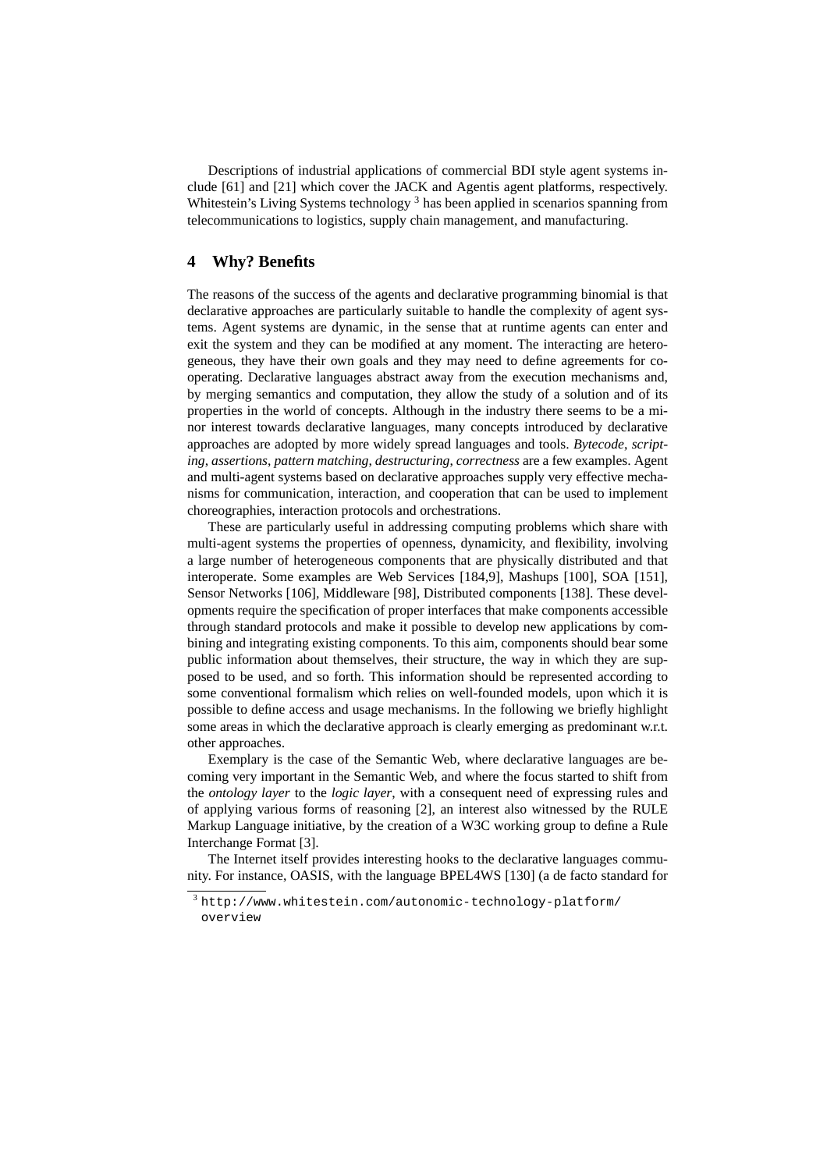Descriptions of industrial applications of commercial BDI style agent systems include [61] and [21] which cover the JACK and Agentis agent platforms, respectively. Whitestein's Living Systems technology<sup>3</sup> has been applied in scenarios spanning from telecommunications to logistics, supply chain management, and manufacturing.

#### **4 Why? Benefits**

The reasons of the success of the agents and declarative programming binomial is that declarative approaches are particularly suitable to handle the complexity of agent systems. Agent systems are dynamic, in the sense that at runtime agents can enter and exit the system and they can be modified at any moment. The interacting are heterogeneous, they have their own goals and they may need to define agreements for cooperating. Declarative languages abstract away from the execution mechanisms and, by merging semantics and computation, they allow the study of a solution and of its properties in the world of concepts. Although in the industry there seems to be a minor interest towards declarative languages, many concepts introduced by declarative approaches are adopted by more widely spread languages and tools. *Bytecode*, *scripting*, *assertions*, *pattern matching*, *destructuring*, *correctness* are a few examples. Agent and multi-agent systems based on declarative approaches supply very effective mechanisms for communication, interaction, and cooperation that can be used to implement choreographies, interaction protocols and orchestrations.

These are particularly useful in addressing computing problems which share with multi-agent systems the properties of openness, dynamicity, and flexibility, involving a large number of heterogeneous components that are physically distributed and that interoperate. Some examples are Web Services [184,9], Mashups [100], SOA [151], Sensor Networks [106], Middleware [98], Distributed components [138]. These developments require the specification of proper interfaces that make components accessible through standard protocols and make it possible to develop new applications by combining and integrating existing components. To this aim, components should bear some public information about themselves, their structure, the way in which they are supposed to be used, and so forth. This information should be represented according to some conventional formalism which relies on well-founded models, upon which it is possible to define access and usage mechanisms. In the following we briefly highlight some areas in which the declarative approach is clearly emerging as predominant w.r.t. other approaches.

Exemplary is the case of the Semantic Web, where declarative languages are becoming very important in the Semantic Web, and where the focus started to shift from the *ontology layer* to the *logic layer*, with a consequent need of expressing rules and of applying various forms of reasoning [2], an interest also witnessed by the RULE Markup Language initiative, by the creation of a W3C working group to define a Rule Interchange Format [3].

The Internet itself provides interesting hooks to the declarative languages community. For instance, OASIS, with the language BPEL4WS [130] (a de facto standard for

<sup>3</sup> http://www.whitestein.com/autonomic-technology-platform/ overview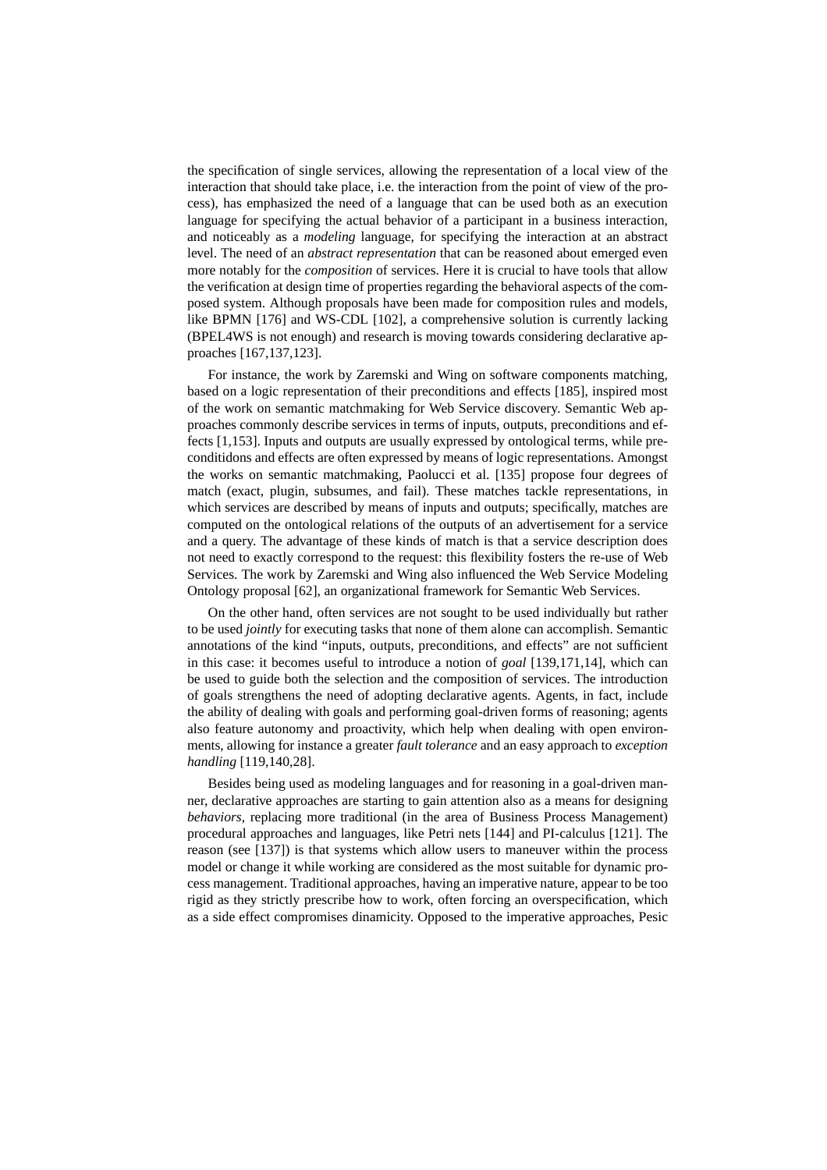the specification of single services, allowing the representation of a local view of the interaction that should take place, i.e. the interaction from the point of view of the process), has emphasized the need of a language that can be used both as an execution language for specifying the actual behavior of a participant in a business interaction, and noticeably as a *modeling* language, for specifying the interaction at an abstract level. The need of an *abstract representation* that can be reasoned about emerged even more notably for the *composition* of services. Here it is crucial to have tools that allow the verification at design time of properties regarding the behavioral aspects of the composed system. Although proposals have been made for composition rules and models, like BPMN [176] and WS-CDL [102], a comprehensive solution is currently lacking (BPEL4WS is not enough) and research is moving towards considering declarative approaches [167,137,123].

For instance, the work by Zaremski and Wing on software components matching, based on a logic representation of their preconditions and effects [185], inspired most of the work on semantic matchmaking for Web Service discovery. Semantic Web approaches commonly describe services in terms of inputs, outputs, preconditions and effects [1,153]. Inputs and outputs are usually expressed by ontological terms, while preconditidons and effects are often expressed by means of logic representations. Amongst the works on semantic matchmaking, Paolucci et al. [135] propose four degrees of match (exact, plugin, subsumes, and fail). These matches tackle representations, in which services are described by means of inputs and outputs; specifically, matches are computed on the ontological relations of the outputs of an advertisement for a service and a query. The advantage of these kinds of match is that a service description does not need to exactly correspond to the request: this flexibility fosters the re-use of Web Services. The work by Zaremski and Wing also influenced the Web Service Modeling Ontology proposal [62], an organizational framework for Semantic Web Services.

On the other hand, often services are not sought to be used individually but rather to be used *jointly* for executing tasks that none of them alone can accomplish. Semantic annotations of the kind "inputs, outputs, preconditions, and effects" are not sufficient in this case: it becomes useful to introduce a notion of *goal* [139,171,14], which can be used to guide both the selection and the composition of services. The introduction of goals strengthens the need of adopting declarative agents. Agents, in fact, include the ability of dealing with goals and performing goal-driven forms of reasoning; agents also feature autonomy and proactivity, which help when dealing with open environments, allowing for instance a greater *fault tolerance* and an easy approach to *exception handling* [119,140,28].

Besides being used as modeling languages and for reasoning in a goal-driven manner, declarative approaches are starting to gain attention also as a means for designing *behaviors*, replacing more traditional (in the area of Business Process Management) procedural approaches and languages, like Petri nets [144] and PI-calculus [121]. The reason (see [137]) is that systems which allow users to maneuver within the process model or change it while working are considered as the most suitable for dynamic process management. Traditional approaches, having an imperative nature, appear to be too rigid as they strictly prescribe how to work, often forcing an overspecification, which as a side effect compromises dinamicity. Opposed to the imperative approaches, Pesic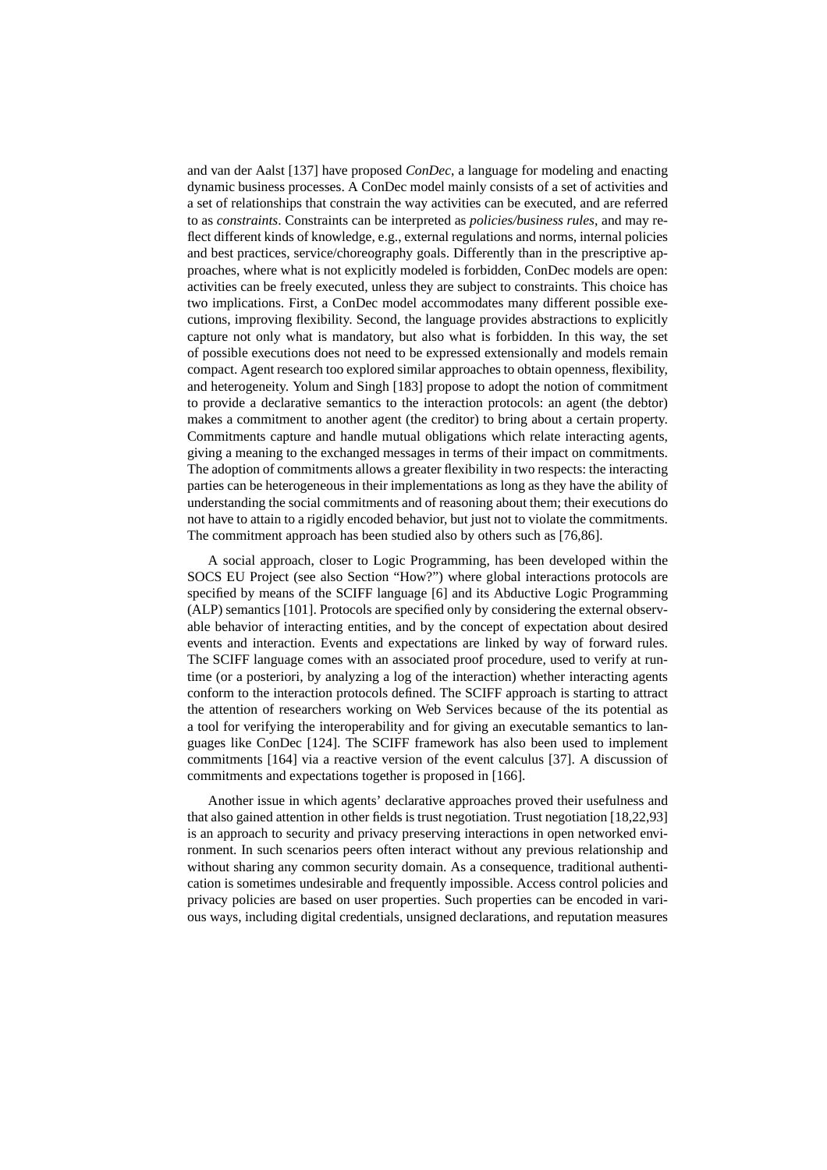and van der Aalst [137] have proposed *ConDec*, a language for modeling and enacting dynamic business processes. A ConDec model mainly consists of a set of activities and a set of relationships that constrain the way activities can be executed, and are referred to as *constraints*. Constraints can be interpreted as *policies/business rules*, and may reflect different kinds of knowledge, e.g., external regulations and norms, internal policies and best practices, service/choreography goals. Differently than in the prescriptive approaches, where what is not explicitly modeled is forbidden, ConDec models are open: activities can be freely executed, unless they are subject to constraints. This choice has two implications. First, a ConDec model accommodates many different possible executions, improving flexibility. Second, the language provides abstractions to explicitly capture not only what is mandatory, but also what is forbidden. In this way, the set of possible executions does not need to be expressed extensionally and models remain compact. Agent research too explored similar approaches to obtain openness, flexibility, and heterogeneity. Yolum and Singh [183] propose to adopt the notion of commitment to provide a declarative semantics to the interaction protocols: an agent (the debtor) makes a commitment to another agent (the creditor) to bring about a certain property. Commitments capture and handle mutual obligations which relate interacting agents, giving a meaning to the exchanged messages in terms of their impact on commitments. The adoption of commitments allows a greater flexibility in two respects: the interacting parties can be heterogeneous in their implementations as long as they have the ability of understanding the social commitments and of reasoning about them; their executions do not have to attain to a rigidly encoded behavior, but just not to violate the commitments. The commitment approach has been studied also by others such as [76,86].

A social approach, closer to Logic Programming, has been developed within the SOCS EU Project (see also Section "How?") where global interactions protocols are specified by means of the SCIFF language [6] and its Abductive Logic Programming (ALP) semantics [101]. Protocols are specified only by considering the external observable behavior of interacting entities, and by the concept of expectation about desired events and interaction. Events and expectations are linked by way of forward rules. The SCIFF language comes with an associated proof procedure, used to verify at runtime (or a posteriori, by analyzing a log of the interaction) whether interacting agents conform to the interaction protocols defined. The SCIFF approach is starting to attract the attention of researchers working on Web Services because of the its potential as a tool for verifying the interoperability and for giving an executable semantics to languages like ConDec [124]. The SCIFF framework has also been used to implement commitments [164] via a reactive version of the event calculus [37]. A discussion of commitments and expectations together is proposed in [166].

Another issue in which agents' declarative approaches proved their usefulness and that also gained attention in other fields is trust negotiation. Trust negotiation [18,22,93] is an approach to security and privacy preserving interactions in open networked environment. In such scenarios peers often interact without any previous relationship and without sharing any common security domain. As a consequence, traditional authentication is sometimes undesirable and frequently impossible. Access control policies and privacy policies are based on user properties. Such properties can be encoded in various ways, including digital credentials, unsigned declarations, and reputation measures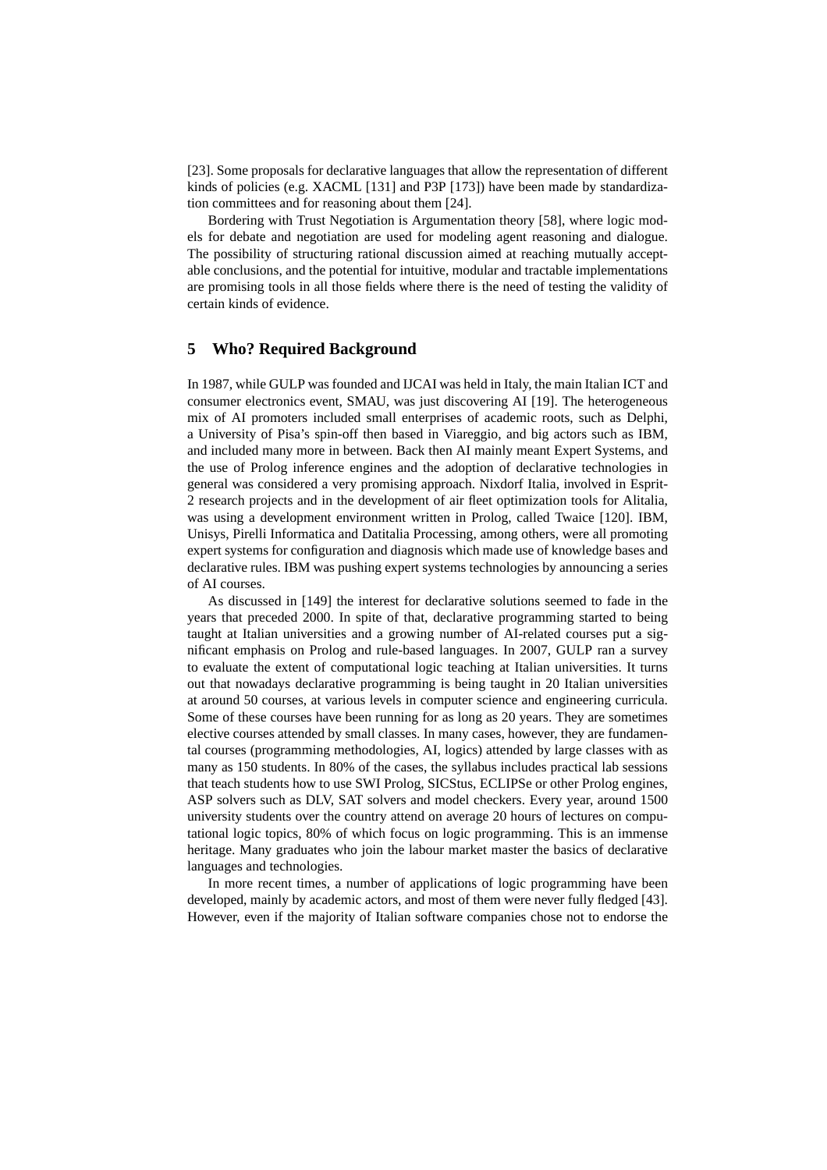[23]. Some proposals for declarative languages that allow the representation of different kinds of policies (e.g. XACML [131] and P3P [173]) have been made by standardization committees and for reasoning about them [24].

Bordering with Trust Negotiation is Argumentation theory [58], where logic models for debate and negotiation are used for modeling agent reasoning and dialogue. The possibility of structuring rational discussion aimed at reaching mutually acceptable conclusions, and the potential for intuitive, modular and tractable implementations are promising tools in all those fields where there is the need of testing the validity of certain kinds of evidence.

### **5 Who? Required Background**

In 1987, while GULP was founded and IJCAI was held in Italy, the main Italian ICT and consumer electronics event, SMAU, was just discovering AI [19]. The heterogeneous mix of AI promoters included small enterprises of academic roots, such as Delphi, a University of Pisa's spin-off then based in Viareggio, and big actors such as IBM, and included many more in between. Back then AI mainly meant Expert Systems, and the use of Prolog inference engines and the adoption of declarative technologies in general was considered a very promising approach. Nixdorf Italia, involved in Esprit-2 research projects and in the development of air fleet optimization tools for Alitalia, was using a development environment written in Prolog, called Twaice [120]. IBM, Unisys, Pirelli Informatica and Datitalia Processing, among others, were all promoting expert systems for configuration and diagnosis which made use of knowledge bases and declarative rules. IBM was pushing expert systems technologies by announcing a series of AI courses.

As discussed in [149] the interest for declarative solutions seemed to fade in the years that preceded 2000. In spite of that, declarative programming started to being taught at Italian universities and a growing number of AI-related courses put a significant emphasis on Prolog and rule-based languages. In 2007, GULP ran a survey to evaluate the extent of computational logic teaching at Italian universities. It turns out that nowadays declarative programming is being taught in 20 Italian universities at around 50 courses, at various levels in computer science and engineering curricula. Some of these courses have been running for as long as 20 years. They are sometimes elective courses attended by small classes. In many cases, however, they are fundamental courses (programming methodologies, AI, logics) attended by large classes with as many as 150 students. In 80% of the cases, the syllabus includes practical lab sessions that teach students how to use SWI Prolog, SICStus, ECLIPSe or other Prolog engines, ASP solvers such as DLV, SAT solvers and model checkers. Every year, around 1500 university students over the country attend on average 20 hours of lectures on computational logic topics, 80% of which focus on logic programming. This is an immense heritage. Many graduates who join the labour market master the basics of declarative languages and technologies.

In more recent times, a number of applications of logic programming have been developed, mainly by academic actors, and most of them were never fully fledged [43]. However, even if the majority of Italian software companies chose not to endorse the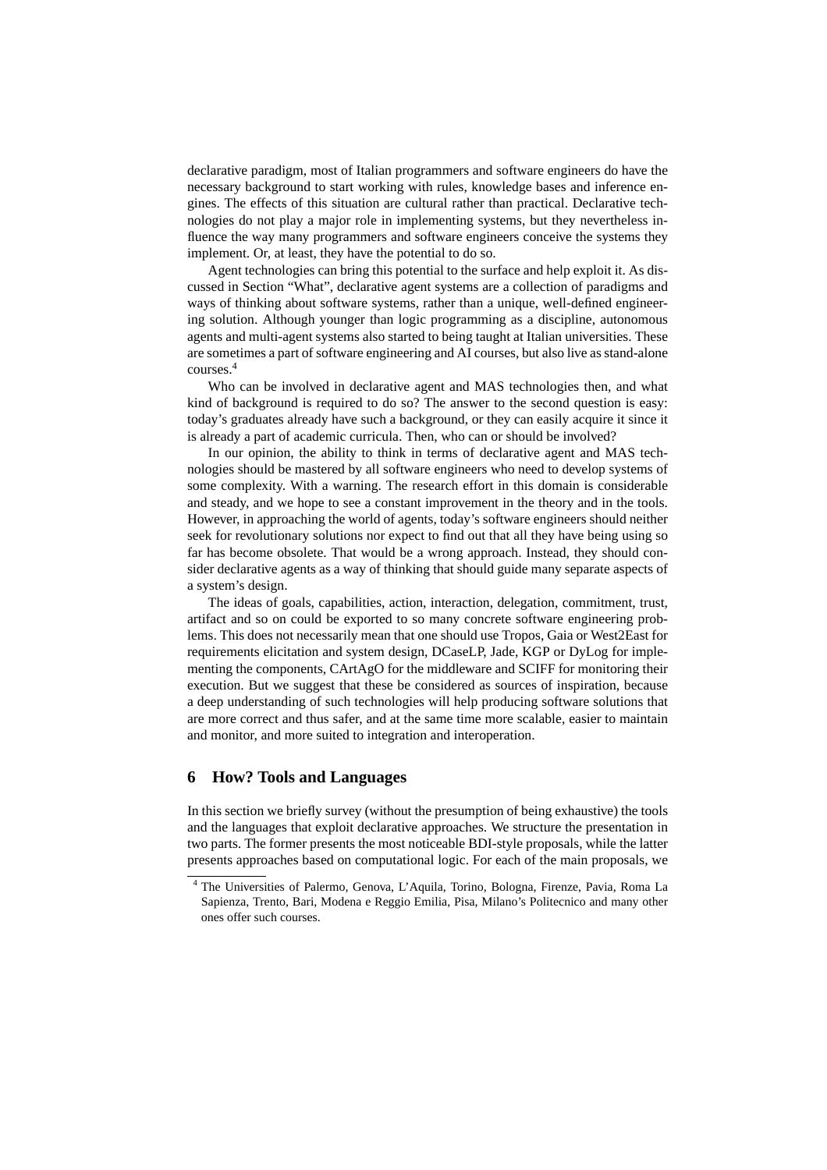declarative paradigm, most of Italian programmers and software engineers do have the necessary background to start working with rules, knowledge bases and inference engines. The effects of this situation are cultural rather than practical. Declarative technologies do not play a major role in implementing systems, but they nevertheless influence the way many programmers and software engineers conceive the systems they implement. Or, at least, they have the potential to do so.

Agent technologies can bring this potential to the surface and help exploit it. As discussed in Section "What", declarative agent systems are a collection of paradigms and ways of thinking about software systems, rather than a unique, well-defined engineering solution. Although younger than logic programming as a discipline, autonomous agents and multi-agent systems also started to being taught at Italian universities. These are sometimes a part of software engineering and AI courses, but also live as stand-alone courses.<sup>4</sup>

Who can be involved in declarative agent and MAS technologies then, and what kind of background is required to do so? The answer to the second question is easy: today's graduates already have such a background, or they can easily acquire it since it is already a part of academic curricula. Then, who can or should be involved?

In our opinion, the ability to think in terms of declarative agent and MAS technologies should be mastered by all software engineers who need to develop systems of some complexity. With a warning. The research effort in this domain is considerable and steady, and we hope to see a constant improvement in the theory and in the tools. However, in approaching the world of agents, today's software engineers should neither seek for revolutionary solutions nor expect to find out that all they have being using so far has become obsolete. That would be a wrong approach. Instead, they should consider declarative agents as a way of thinking that should guide many separate aspects of a system's design.

The ideas of goals, capabilities, action, interaction, delegation, commitment, trust, artifact and so on could be exported to so many concrete software engineering problems. This does not necessarily mean that one should use Tropos, Gaia or West2East for requirements elicitation and system design, DCaseLP, Jade, KGP or DyLog for implementing the components, CArtAgO for the middleware and SCIFF for monitoring their execution. But we suggest that these be considered as sources of inspiration, because a deep understanding of such technologies will help producing software solutions that are more correct and thus safer, and at the same time more scalable, easier to maintain and monitor, and more suited to integration and interoperation.

#### **6 How? Tools and Languages**

In this section we briefly survey (without the presumption of being exhaustive) the tools and the languages that exploit declarative approaches. We structure the presentation in two parts. The former presents the most noticeable BDI-style proposals, while the latter presents approaches based on computational logic. For each of the main proposals, we

<sup>4</sup> The Universities of Palermo, Genova, L'Aquila, Torino, Bologna, Firenze, Pavia, Roma La Sapienza, Trento, Bari, Modena e Reggio Emilia, Pisa, Milano's Politecnico and many other ones offer such courses.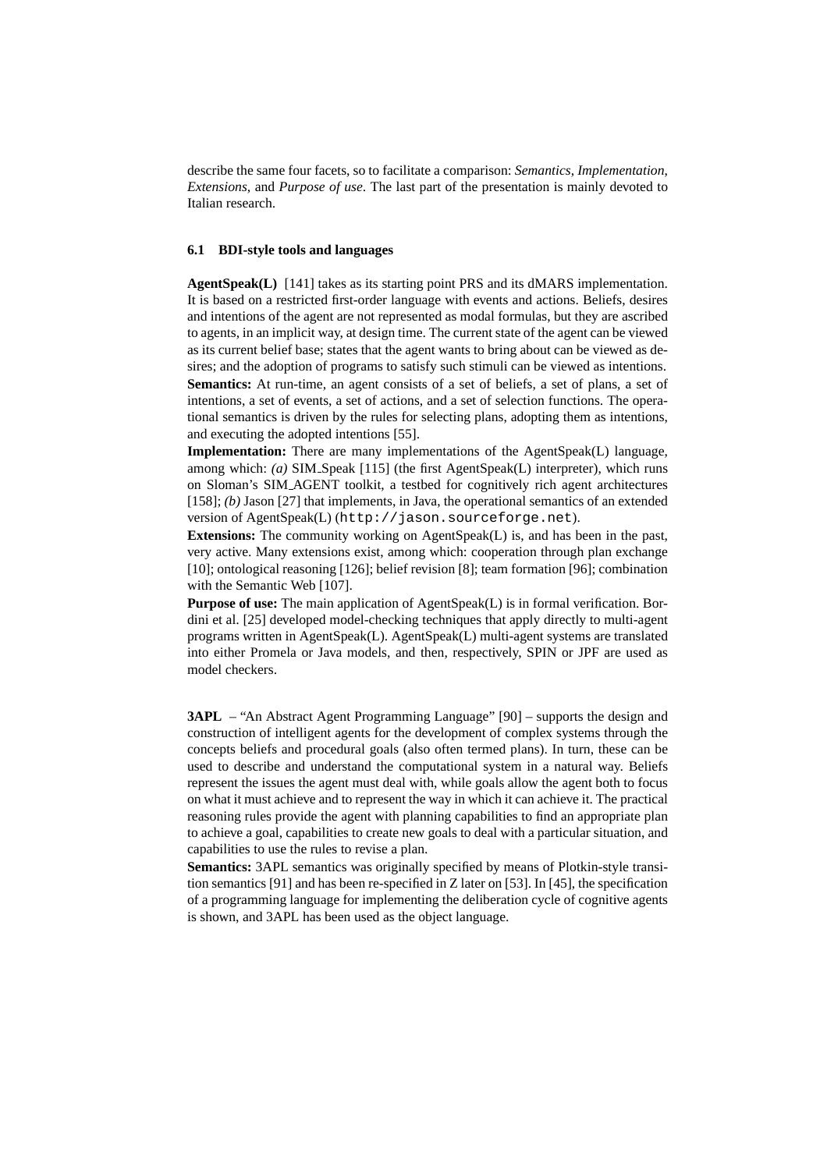describe the same four facets, so to facilitate a comparison: *Semantics*, *Implementation*, *Extensions*, and *Purpose of use*. The last part of the presentation is mainly devoted to Italian research.

#### **6.1 BDI-style tools and languages**

**AgentSpeak(L)** [141] takes as its starting point PRS and its dMARS implementation. It is based on a restricted first-order language with events and actions. Beliefs, desires and intentions of the agent are not represented as modal formulas, but they are ascribed to agents, in an implicit way, at design time. The current state of the agent can be viewed as its current belief base; states that the agent wants to bring about can be viewed as desires; and the adoption of programs to satisfy such stimuli can be viewed as intentions. Semantics: At run-time, an agent consists of a set of beliefs, a set of plans, a set of intentions, a set of events, a set of actions, and a set of selection functions. The operational semantics is driven by the rules for selecting plans, adopting them as intentions, and executing the adopted intentions [55].

**Implementation:** There are many implementations of the AgentSpeak(L) language, among which: *(a)* SIM Speak [115] (the first AgentSpeak(L) interpreter), which runs on Sloman's SIM AGENT toolkit, a testbed for cognitively rich agent architectures [158]; *(b)* Jason [27] that implements, in Java, the operational semantics of an extended version of AgentSpeak(L) (http://jason.sourceforge.net).

**Extensions:** The community working on AgentSpeak(L) is, and has been in the past, very active. Many extensions exist, among which: cooperation through plan exchange [10]; ontological reasoning [126]; belief revision [8]; team formation [96]; combination with the Semantic Web [107].

**Purpose of use:** The main application of AgentSpeak(L) is in formal verification. Bordini et al. [25] developed model-checking techniques that apply directly to multi-agent programs written in AgentSpeak(L). AgentSpeak(L) multi-agent systems are translated into either Promela or Java models, and then, respectively, SPIN or JPF are used as model checkers.

**3APL** – "An Abstract Agent Programming Language" [90] – supports the design and construction of intelligent agents for the development of complex systems through the concepts beliefs and procedural goals (also often termed plans). In turn, these can be used to describe and understand the computational system in a natural way. Beliefs represent the issues the agent must deal with, while goals allow the agent both to focus on what it must achieve and to represent the way in which it can achieve it. The practical reasoning rules provide the agent with planning capabilities to find an appropriate plan to achieve a goal, capabilities to create new goals to deal with a particular situation, and capabilities to use the rules to revise a plan.

**Semantics:** 3APL semantics was originally specified by means of Plotkin-style transition semantics [91] and has been re-specified in Z later on [53]. In [45], the specification of a programming language for implementing the deliberation cycle of cognitive agents is shown, and 3APL has been used as the object language.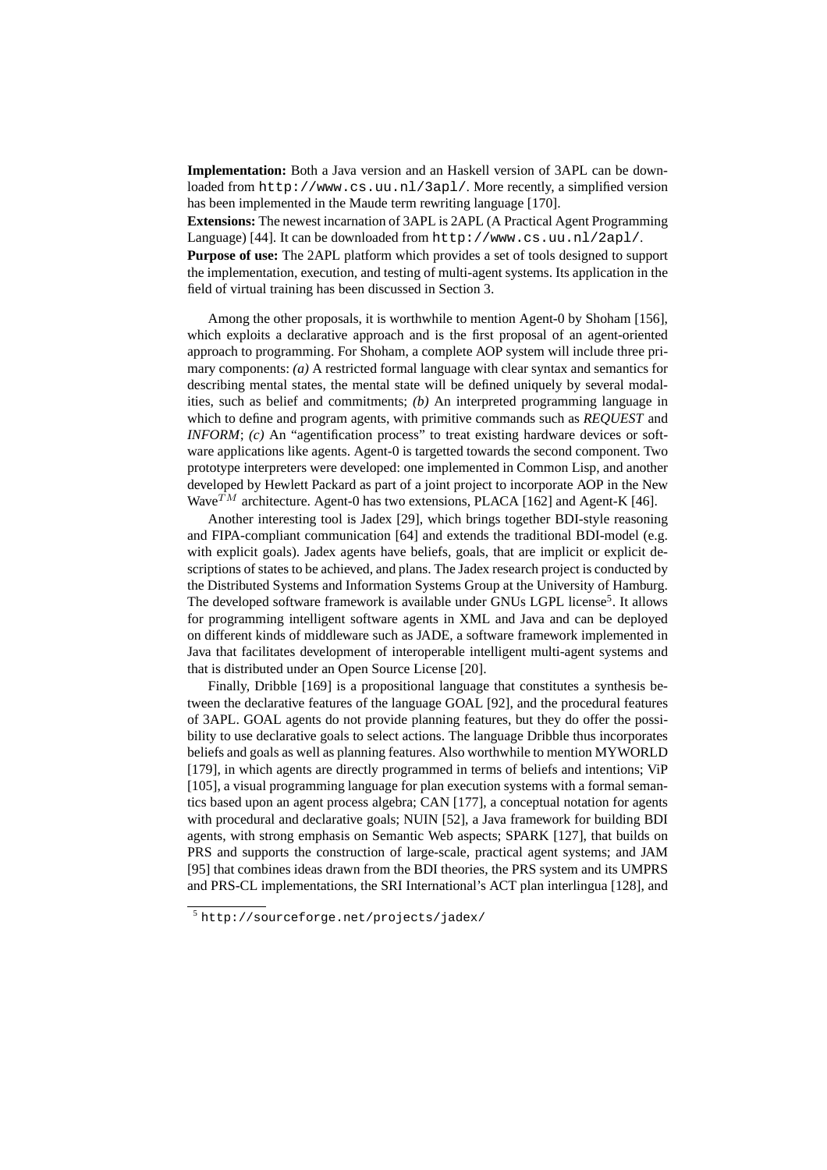**Implementation:** Both a Java version and an Haskell version of 3APL can be downloaded from http://www.cs.uu.nl/3apl/. More recently, a simplified version has been implemented in the Maude term rewriting language [170].

**Extensions:** The newest incarnation of 3APL is 2APL (A Practical Agent Programming Language) [44]. It can be downloaded from http://www.cs.uu.nl/2apl/.

**Purpose of use:** The 2APL platform which provides a set of tools designed to support the implementation, execution, and testing of multi-agent systems. Its application in the field of virtual training has been discussed in Section 3.

Among the other proposals, it is worthwhile to mention Agent-0 by Shoham [156], which exploits a declarative approach and is the first proposal of an agent-oriented approach to programming. For Shoham, a complete AOP system will include three primary components: *(a)* A restricted formal language with clear syntax and semantics for describing mental states, the mental state will be defined uniquely by several modalities, such as belief and commitments; *(b)* An interpreted programming language in which to define and program agents, with primitive commands such as *REQUEST* and *INFORM*; *(c)* An "agentification process" to treat existing hardware devices or software applications like agents. Agent-0 is targetted towards the second component. Two prototype interpreters were developed: one implemented in Common Lisp, and another developed by Hewlett Packard as part of a joint project to incorporate AOP in the New Wave<sup>TM</sup> architecture. Agent-0 has two extensions, PLACA [162] and Agent-K [46].

Another interesting tool is Jadex [29], which brings together BDI-style reasoning and FIPA-compliant communication [64] and extends the traditional BDI-model (e.g. with explicit goals). Jadex agents have beliefs, goals, that are implicit or explicit descriptions of states to be achieved, and plans. The Jadex research project is conducted by the Distributed Systems and Information Systems Group at the University of Hamburg. The developed software framework is available under GNUs LGPL license<sup>5</sup>. It allows for programming intelligent software agents in XML and Java and can be deployed on different kinds of middleware such as JADE, a software framework implemented in Java that facilitates development of interoperable intelligent multi-agent systems and that is distributed under an Open Source License [20].

Finally, Dribble [169] is a propositional language that constitutes a synthesis between the declarative features of the language GOAL [92], and the procedural features of 3APL. GOAL agents do not provide planning features, but they do offer the possibility to use declarative goals to select actions. The language Dribble thus incorporates beliefs and goals as well as planning features. Also worthwhile to mention MYWORLD [179], in which agents are directly programmed in terms of beliefs and intentions; ViP [105], a visual programming language for plan execution systems with a formal semantics based upon an agent process algebra; CAN [177], a conceptual notation for agents with procedural and declarative goals; NUIN [52], a Java framework for building BDI agents, with strong emphasis on Semantic Web aspects; SPARK [127], that builds on PRS and supports the construction of large-scale, practical agent systems; and JAM [95] that combines ideas drawn from the BDI theories, the PRS system and its UMPRS and PRS-CL implementations, the SRI International's ACT plan interlingua [128], and

<sup>5</sup> http://sourceforge.net/projects/jadex/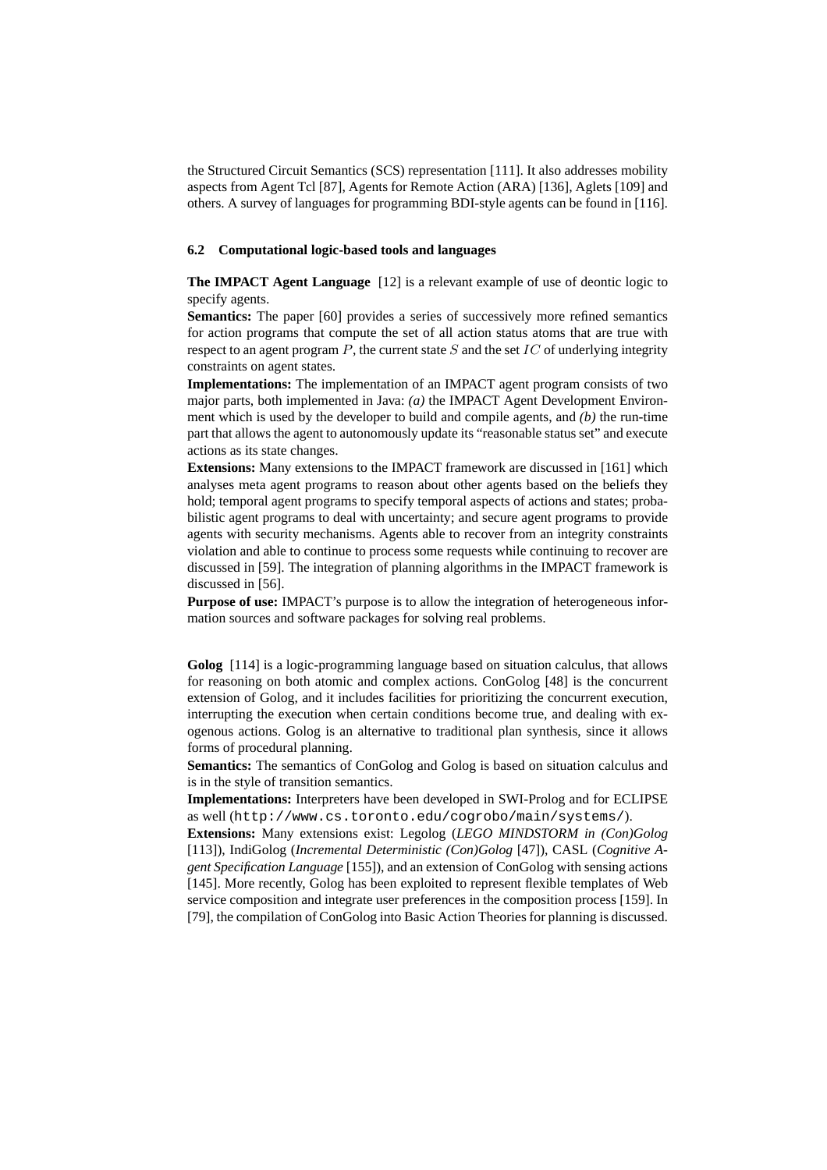the Structured Circuit Semantics (SCS) representation [111]. It also addresses mobility aspects from Agent Tcl [87], Agents for Remote Action (ARA) [136], Aglets [109] and others. A survey of languages for programming BDI-style agents can be found in [116].

#### **6.2 Computational logic-based tools and languages**

**The IMPACT Agent Language** [12] is a relevant example of use of deontic logic to specify agents.

**Semantics:** The paper [60] provides a series of successively more refined semantics for action programs that compute the set of all action status atoms that are true with respect to an agent program  $P$ , the current state  $S$  and the set  $IC$  of underlying integrity constraints on agent states.

**Implementations:** The implementation of an IMPACT agent program consists of two major parts, both implemented in Java: *(a)* the IMPACT Agent Development Environment which is used by the developer to build and compile agents, and *(b)* the run-time part that allows the agent to autonomously update its "reasonable status set" and execute actions as its state changes.

**Extensions:** Many extensions to the IMPACT framework are discussed in [161] which analyses meta agent programs to reason about other agents based on the beliefs they hold; temporal agent programs to specify temporal aspects of actions and states; probabilistic agent programs to deal with uncertainty; and secure agent programs to provide agents with security mechanisms. Agents able to recover from an integrity constraints violation and able to continue to process some requests while continuing to recover are discussed in [59]. The integration of planning algorithms in the IMPACT framework is discussed in [56].

**Purpose of use:** IMPACT's purpose is to allow the integration of heterogeneous information sources and software packages for solving real problems.

**Golog** [114] is a logic-programming language based on situation calculus, that allows for reasoning on both atomic and complex actions. ConGolog [48] is the concurrent extension of Golog, and it includes facilities for prioritizing the concurrent execution, interrupting the execution when certain conditions become true, and dealing with exogenous actions. Golog is an alternative to traditional plan synthesis, since it allows forms of procedural planning.

**Semantics:** The semantics of ConGolog and Golog is based on situation calculus and is in the style of transition semantics.

**Implementations:** Interpreters have been developed in SWI-Prolog and for ECLIPSE as well (http://www.cs.toronto.edu/cogrobo/main/systems/).

**Extensions:** Many extensions exist: Legolog (*LEGO MINDSTORM in (Con)Golog* [113]), IndiGolog (*Incremental Deterministic (Con)Golog* [47]), CASL (*Cognitive Agent Specification Language* [155]), and an extension of ConGolog with sensing actions [145]. More recently, Golog has been exploited to represent flexible templates of Web service composition and integrate user preferences in the composition process [159]. In [79], the compilation of ConGolog into Basic Action Theories for planning is discussed.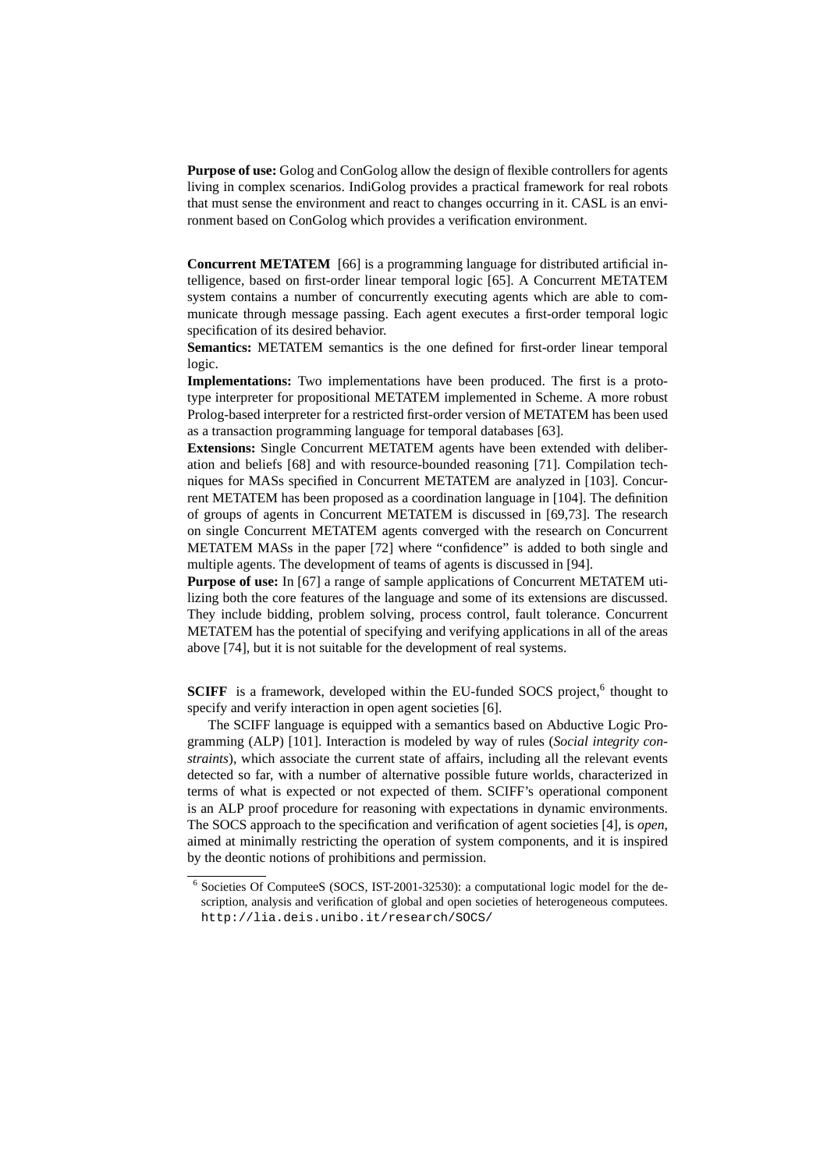**Purpose of use:** Golog and ConGolog allow the design of flexible controllers for agents living in complex scenarios. IndiGolog provides a practical framework for real robots that must sense the environment and react to changes occurring in it. CASL is an environment based on ConGolog which provides a verification environment.

**Concurrent METATEM** [66] is a programming language for distributed artificial intelligence, based on first-order linear temporal logic [65]. A Concurrent METATEM system contains a number of concurrently executing agents which are able to communicate through message passing. Each agent executes a first-order temporal logic specification of its desired behavior.

**Semantics:** METATEM semantics is the one defined for first-order linear temporal logic.

**Implementations:** Two implementations have been produced. The first is a prototype interpreter for propositional METATEM implemented in Scheme. A more robust Prolog-based interpreter for a restricted first-order version of METATEM has been used as a transaction programming language for temporal databases [63].

**Extensions:** Single Concurrent METATEM agents have been extended with deliberation and beliefs [68] and with resource-bounded reasoning [71]. Compilation techniques for MASs specified in Concurrent METATEM are analyzed in [103]. Concurrent METATEM has been proposed as a coordination language in [104]. The definition of groups of agents in Concurrent METATEM is discussed in [69,73]. The research on single Concurrent METATEM agents converged with the research on Concurrent METATEM MASs in the paper [72] where "confidence" is added to both single and multiple agents. The development of teams of agents is discussed in [94].

**Purpose of use:** In [67] a range of sample applications of Concurrent METATEM utilizing both the core features of the language and some of its extensions are discussed. They include bidding, problem solving, process control, fault tolerance. Concurrent METATEM has the potential of specifying and verifying applications in all of the areas above [74], but it is not suitable for the development of real systems.

**SCIFF** is a framework, developed within the EU-funded SOCS project,<sup>6</sup> thought to specify and verify interaction in open agent societies [6].

The SCIFF language is equipped with a semantics based on Abductive Logic Programming (ALP) [101]. Interaction is modeled by way of rules (*Social integrity constraints*), which associate the current state of affairs, including all the relevant events detected so far, with a number of alternative possible future worlds, characterized in terms of what is expected or not expected of them. SCIFF's operational component is an ALP proof procedure for reasoning with expectations in dynamic environments. The SOCS approach to the specification and verification of agent societies [4], is *open*, aimed at minimally restricting the operation of system components, and it is inspired by the deontic notions of prohibitions and permission.

<sup>&</sup>lt;sup>6</sup> Societies Of ComputeeS (SOCS, IST-2001-32530): a computational logic model for the description, analysis and verification of global and open societies of heterogeneous computees. http://lia.deis.unibo.it/research/SOCS/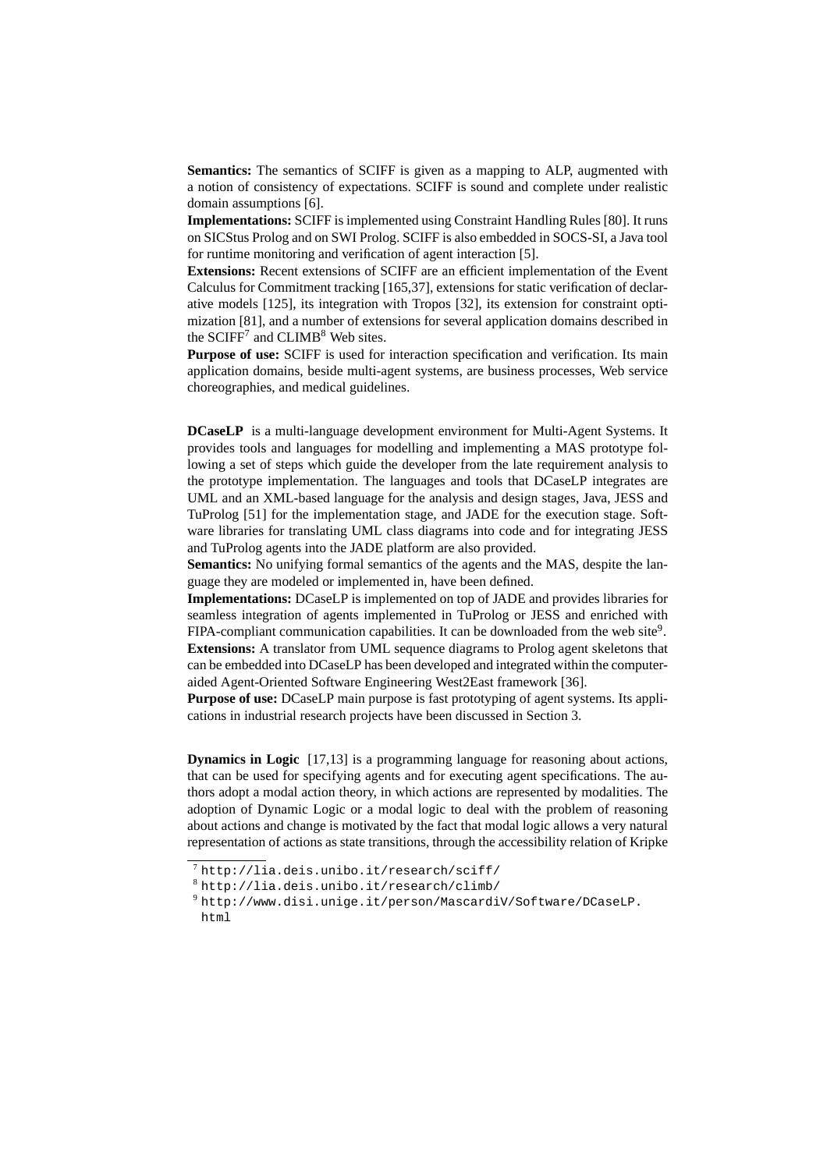**Semantics:** The semantics of SCIFF is given as a mapping to ALP, augmented with a notion of consistency of expectations. SCIFF is sound and complete under realistic domain assumptions [6].

**Implementations:** SCIFF is implemented using Constraint Handling Rules [80]. It runs on SICStus Prolog and on SWI Prolog. SCIFF is also embedded in SOCS-SI, a Java tool for runtime monitoring and verification of agent interaction [5].

**Extensions:** Recent extensions of SCIFF are an efficient implementation of the Event Calculus for Commitment tracking [165,37], extensions for static verification of declarative models [125], its integration with Tropos [32], its extension for constraint optimization [81], and a number of extensions for several application domains described in the  $SCIFF<sup>7</sup>$  and  $CLIMB<sup>8</sup>$  Web sites.

**Purpose of use:** SCIFF is used for interaction specification and verification. Its main application domains, beside multi-agent systems, are business processes, Web service choreographies, and medical guidelines.

**DCaseLP** is a multi-language development environment for Multi-Agent Systems. It provides tools and languages for modelling and implementing a MAS prototype following a set of steps which guide the developer from the late requirement analysis to the prototype implementation. The languages and tools that DCaseLP integrates are UML and an XML-based language for the analysis and design stages, Java, JESS and TuProlog [51] for the implementation stage, and JADE for the execution stage. Software libraries for translating UML class diagrams into code and for integrating JESS and TuProlog agents into the JADE platform are also provided.

**Semantics:** No unifying formal semantics of the agents and the MAS, despite the language they are modeled or implemented in, have been defined.

**Implementations:** DCaseLP is implemented on top of JADE and provides libraries for seamless integration of agents implemented in TuProlog or JESS and enriched with FIPA-compliant communication capabilities. It can be downloaded from the web site<sup>9</sup>. **Extensions:** A translator from UML sequence diagrams to Prolog agent skeletons that can be embedded into DCaseLP has been developed and integrated within the computeraided Agent-Oriented Software Engineering West2East framework [36].

**Purpose of use:** DCaseLP main purpose is fast prototyping of agent systems. Its applications in industrial research projects have been discussed in Section 3.

**Dynamics in Logic** [17,13] is a programming language for reasoning about actions, that can be used for specifying agents and for executing agent specifications. The authors adopt a modal action theory, in which actions are represented by modalities. The adoption of Dynamic Logic or a modal logic to deal with the problem of reasoning about actions and change is motivated by the fact that modal logic allows a very natural representation of actions as state transitions, through the accessibility relation of Kripke

<sup>7</sup> http://lia.deis.unibo.it/research/sciff/

<sup>8</sup> http://lia.deis.unibo.it/research/climb/

<sup>9</sup> http://www.disi.unige.it/person/MascardiV/Software/DCaseLP. html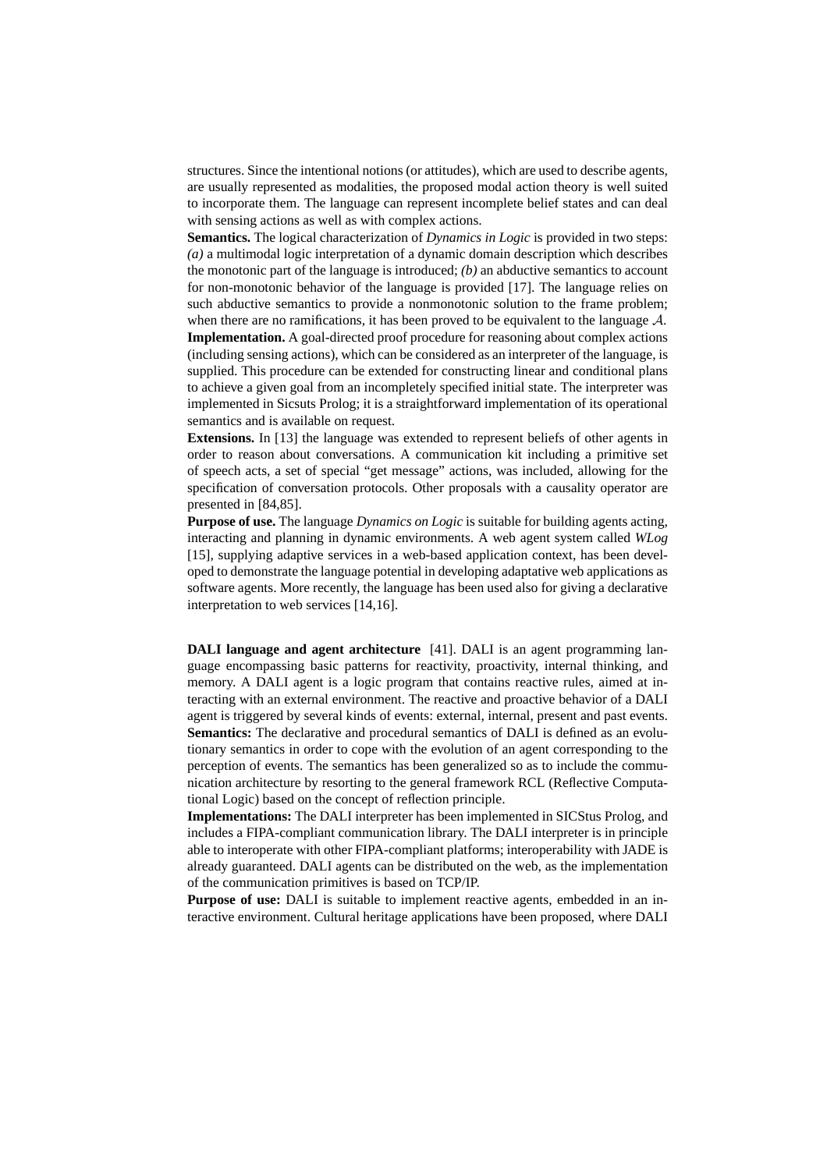structures. Since the intentional notions (or attitudes), which are used to describe agents, are usually represented as modalities, the proposed modal action theory is well suited to incorporate them. The language can represent incomplete belief states and can deal with sensing actions as well as with complex actions.

**Semantics.** The logical characterization of *Dynamics in Logic* is provided in two steps: *(a)* a multimodal logic interpretation of a dynamic domain description which describes the monotonic part of the language is introduced; *(b)* an abductive semantics to account for non-monotonic behavior of the language is provided [17]. The language relies on such abductive semantics to provide a nonmonotonic solution to the frame problem; when there are no ramifications, it has been proved to be equivalent to the language  $A$ . **Implementation.** A goal-directed proof procedure for reasoning about complex actions (including sensing actions), which can be considered as an interpreter of the language, is supplied. This procedure can be extended for constructing linear and conditional plans to achieve a given goal from an incompletely specified initial state. The interpreter was implemented in Sicsuts Prolog; it is a straightforward implementation of its operational semantics and is available on request.

**Extensions.** In [13] the language was extended to represent beliefs of other agents in order to reason about conversations. A communication kit including a primitive set of speech acts, a set of special "get message" actions, was included, allowing for the specification of conversation protocols. Other proposals with a causality operator are presented in [84,85].

**Purpose of use.** The language *Dynamics on Logic* is suitable for building agents acting, interacting and planning in dynamic environments. A web agent system called *WLog* [15], supplying adaptive services in a web-based application context, has been developed to demonstrate the language potential in developing adaptative web applications as software agents. More recently, the language has been used also for giving a declarative interpretation to web services [14,16].

**DALI language and agent architecture** [41]. DALI is an agent programming language encompassing basic patterns for reactivity, proactivity, internal thinking, and memory. A DALI agent is a logic program that contains reactive rules, aimed at interacting with an external environment. The reactive and proactive behavior of a DALI agent is triggered by several kinds of events: external, internal, present and past events. **Semantics:** The declarative and procedural semantics of DALI is defined as an evolutionary semantics in order to cope with the evolution of an agent corresponding to the perception of events. The semantics has been generalized so as to include the communication architecture by resorting to the general framework RCL (Reflective Computational Logic) based on the concept of reflection principle.

**Implementations:** The DALI interpreter has been implemented in SICStus Prolog, and includes a FIPA-compliant communication library. The DALI interpreter is in principle able to interoperate with other FIPA-compliant platforms; interoperability with JADE is already guaranteed. DALI agents can be distributed on the web, as the implementation of the communication primitives is based on TCP/IP.

**Purpose of use:** DALI is suitable to implement reactive agents, embedded in an interactive environment. Cultural heritage applications have been proposed, where DALI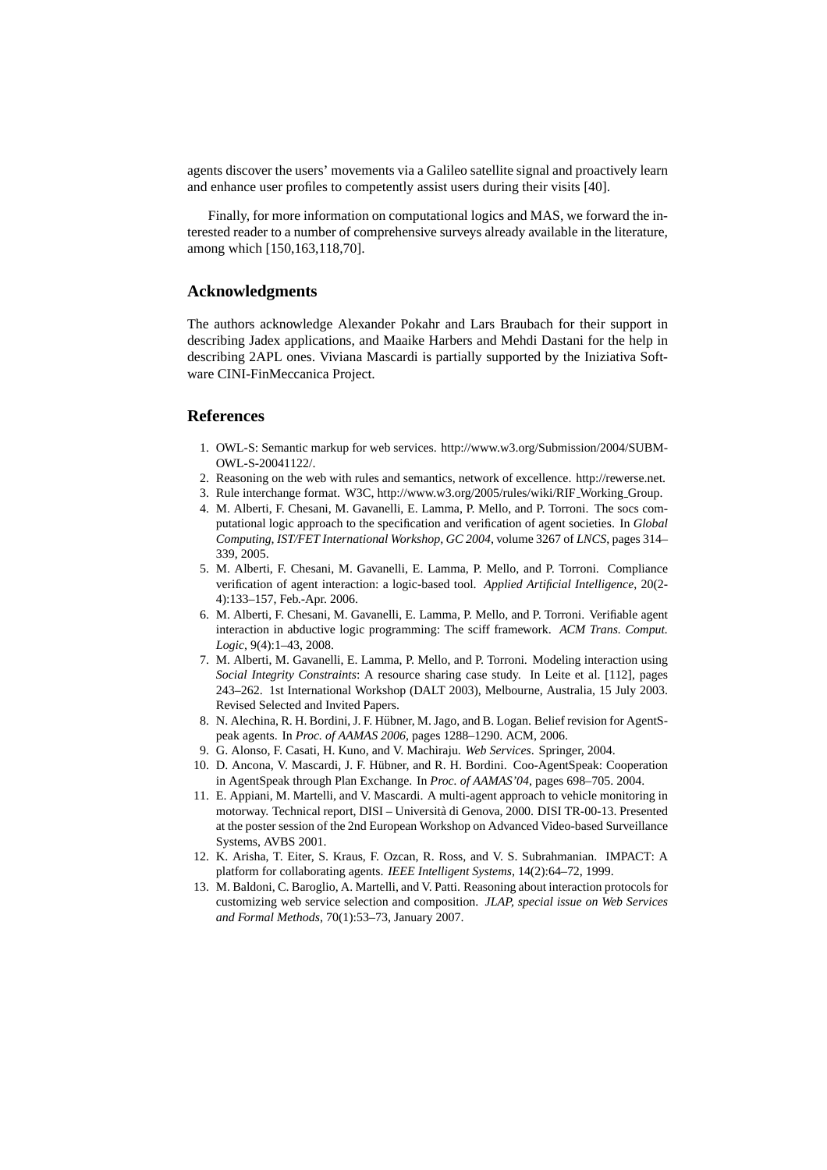agents discover the users' movements via a Galileo satellite signal and proactively learn and enhance user profiles to competently assist users during their visits [40].

Finally, for more information on computational logics and MAS, we forward the interested reader to a number of comprehensive surveys already available in the literature, among which [150,163,118,70].

#### **Acknowledgments**

The authors acknowledge Alexander Pokahr and Lars Braubach for their support in describing Jadex applications, and Maaike Harbers and Mehdi Dastani for the help in describing 2APL ones. Viviana Mascardi is partially supported by the Iniziativa Software CINI-FinMeccanica Project.

#### **References**

- 1. OWL-S: Semantic markup for web services. http://www.w3.org/Submission/2004/SUBM-OWL-S-20041122/.
- 2. Reasoning on the web with rules and semantics, network of excellence. http://rewerse.net.
- 3. Rule interchange format. W3C, http://www.w3.org/2005/rules/wiki/RIF Working Group.
- 4. M. Alberti, F. Chesani, M. Gavanelli, E. Lamma, P. Mello, and P. Torroni. The socs computational logic approach to the specification and verification of agent societies. In *Global Computing, IST/FET International Workshop, GC 2004*, volume 3267 of *LNCS*, pages 314– 339, 2005.
- 5. M. Alberti, F. Chesani, M. Gavanelli, E. Lamma, P. Mello, and P. Torroni. Compliance verification of agent interaction: a logic-based tool. *Applied Artificial Intelligence*, 20(2- 4):133–157, Feb.-Apr. 2006.
- 6. M. Alberti, F. Chesani, M. Gavanelli, E. Lamma, P. Mello, and P. Torroni. Verifiable agent interaction in abductive logic programming: The sciff framework. *ACM Trans. Comput. Logic*, 9(4):1–43, 2008.
- 7. M. Alberti, M. Gavanelli, E. Lamma, P. Mello, and P. Torroni. Modeling interaction using *Social Integrity Constraints*: A resource sharing case study. In Leite et al. [112], pages 243–262. 1st International Workshop (DALT 2003), Melbourne, Australia, 15 July 2003. Revised Selected and Invited Papers.
- 8. N. Alechina, R. H. Bordini, J. F. Hübner, M. Jago, and B. Logan. Belief revision for AgentSpeak agents. In *Proc. of AAMAS 2006*, pages 1288–1290. ACM, 2006.
- 9. G. Alonso, F. Casati, H. Kuno, and V. Machiraju. *Web Services*. Springer, 2004.
- 10. D. Ancona, V. Mascardi, J. F. Hübner, and R. H. Bordini. Coo-AgentSpeak: Cooperation in AgentSpeak through Plan Exchange. In *Proc. of AAMAS'04*, pages 698–705. 2004.
- 11. E. Appiani, M. Martelli, and V. Mascardi. A multi-agent approach to vehicle monitoring in motorway. Technical report, DISI – Universita di Genova, 2000. DISI TR-00-13. Presented ` at the poster session of the 2nd European Workshop on Advanced Video-based Surveillance Systems, AVBS 2001.
- 12. K. Arisha, T. Eiter, S. Kraus, F. Ozcan, R. Ross, and V. S. Subrahmanian. IMPACT: A platform for collaborating agents. *IEEE Intelligent Systems*, 14(2):64–72, 1999.
- 13. M. Baldoni, C. Baroglio, A. Martelli, and V. Patti. Reasoning about interaction protocols for customizing web service selection and composition. *JLAP, special issue on Web Services and Formal Methods*, 70(1):53–73, January 2007.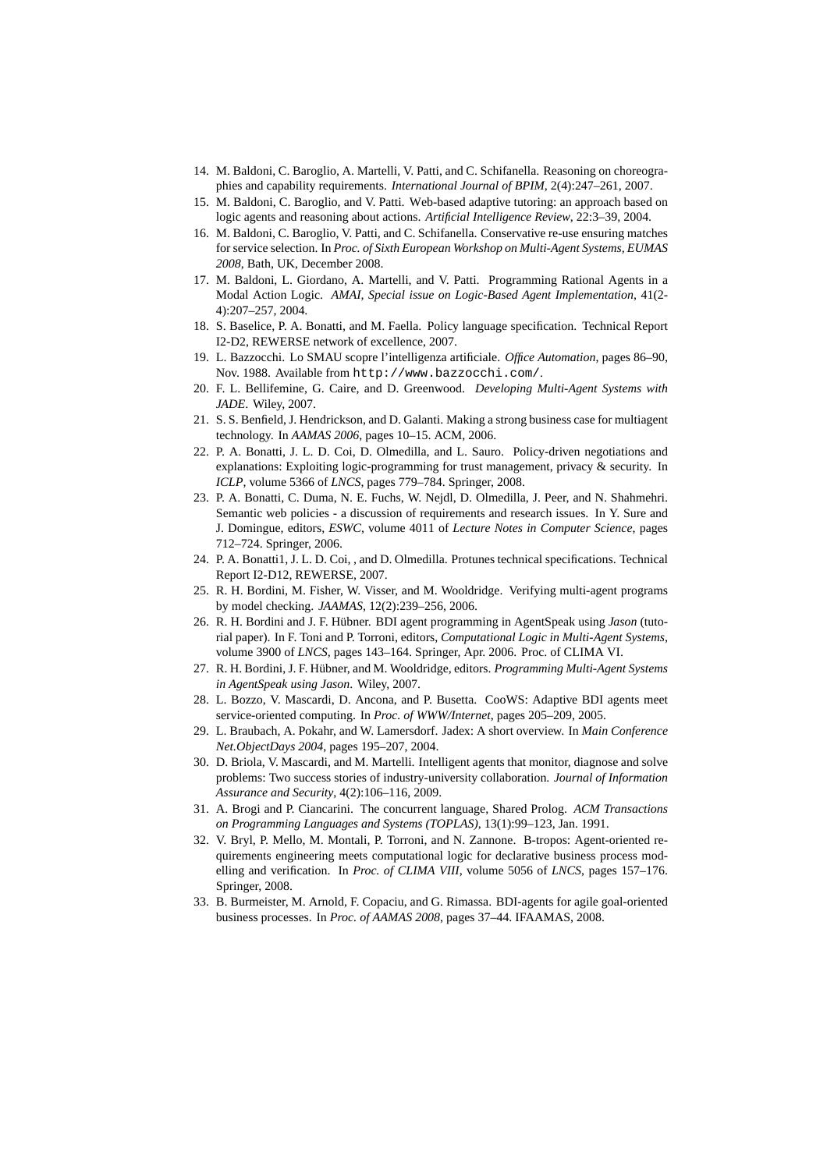- 14. M. Baldoni, C. Baroglio, A. Martelli, V. Patti, and C. Schifanella. Reasoning on choreographies and capability requirements. *International Journal of BPIM*, 2(4):247–261, 2007.
- 15. M. Baldoni, C. Baroglio, and V. Patti. Web-based adaptive tutoring: an approach based on logic agents and reasoning about actions. *Artificial Intelligence Review*, 22:3–39, 2004.
- 16. M. Baldoni, C. Baroglio, V. Patti, and C. Schifanella. Conservative re-use ensuring matches for service selection. In *Proc. of Sixth European Workshop on Multi-Agent Systems, EUMAS 2008*, Bath, UK, December 2008.
- 17. M. Baldoni, L. Giordano, A. Martelli, and V. Patti. Programming Rational Agents in a Modal Action Logic. *AMAI, Special issue on Logic-Based Agent Implementation*, 41(2- 4):207–257, 2004.
- 18. S. Baselice, P. A. Bonatti, and M. Faella. Policy language specification. Technical Report I2-D2, REWERSE network of excellence, 2007.
- 19. L. Bazzocchi. Lo SMAU scopre l'intelligenza artificiale. *Office Automation*, pages 86–90, Nov. 1988. Available from http://www.bazzocchi.com/.
- 20. F. L. Bellifemine, G. Caire, and D. Greenwood. *Developing Multi-Agent Systems with JADE*. Wiley, 2007.
- 21. S. S. Benfield, J. Hendrickson, and D. Galanti. Making a strong business case for multiagent technology. In *AAMAS 2006*, pages 10–15. ACM, 2006.
- 22. P. A. Bonatti, J. L. D. Coi, D. Olmedilla, and L. Sauro. Policy-driven negotiations and explanations: Exploiting logic-programming for trust management, privacy & security. In *ICLP*, volume 5366 of *LNCS*, pages 779–784. Springer, 2008.
- 23. P. A. Bonatti, C. Duma, N. E. Fuchs, W. Nejdl, D. Olmedilla, J. Peer, and N. Shahmehri. Semantic web policies - a discussion of requirements and research issues. In Y. Sure and J. Domingue, editors, *ESWC*, volume 4011 of *Lecture Notes in Computer Science*, pages 712–724. Springer, 2006.
- 24. P. A. Bonatti1, J. L. D. Coi, , and D. Olmedilla. Protunes technical specifications. Technical Report I2-D12, REWERSE, 2007.
- 25. R. H. Bordini, M. Fisher, W. Visser, and M. Wooldridge. Verifying multi-agent programs by model checking. *JAAMAS*, 12(2):239–256, 2006.
- 26. R. H. Bordini and J. F. Hübner. BDI agent programming in AgentSpeak using *Jason* (tutorial paper). In F. Toni and P. Torroni, editors, *Computational Logic in Multi-Agent Systems*, volume 3900 of *LNCS*, pages 143–164. Springer, Apr. 2006. Proc. of CLIMA VI.
- 27. R. H. Bordini, J. F. Hübner, and M. Wooldridge, editors. *Programming Multi-Agent Systems in AgentSpeak using Jason*. Wiley, 2007.
- 28. L. Bozzo, V. Mascardi, D. Ancona, and P. Busetta. CooWS: Adaptive BDI agents meet service-oriented computing. In *Proc. of WWW/Internet*, pages 205–209, 2005.
- 29. L. Braubach, A. Pokahr, and W. Lamersdorf. Jadex: A short overview. In *Main Conference Net.ObjectDays 2004*, pages 195–207, 2004.
- 30. D. Briola, V. Mascardi, and M. Martelli. Intelligent agents that monitor, diagnose and solve problems: Two success stories of industry-university collaboration. *Journal of Information Assurance and Security*, 4(2):106–116, 2009.
- 31. A. Brogi and P. Ciancarini. The concurrent language, Shared Prolog. *ACM Transactions on Programming Languages and Systems (TOPLAS)*, 13(1):99–123, Jan. 1991.
- 32. V. Bryl, P. Mello, M. Montali, P. Torroni, and N. Zannone. B-tropos: Agent-oriented requirements engineering meets computational logic for declarative business process modelling and verification. In *Proc. of CLIMA VIII*, volume 5056 of *LNCS*, pages 157–176. Springer, 2008.
- 33. B. Burmeister, M. Arnold, F. Copaciu, and G. Rimassa. BDI-agents for agile goal-oriented business processes. In *Proc. of AAMAS 2008*, pages 37–44. IFAAMAS, 2008.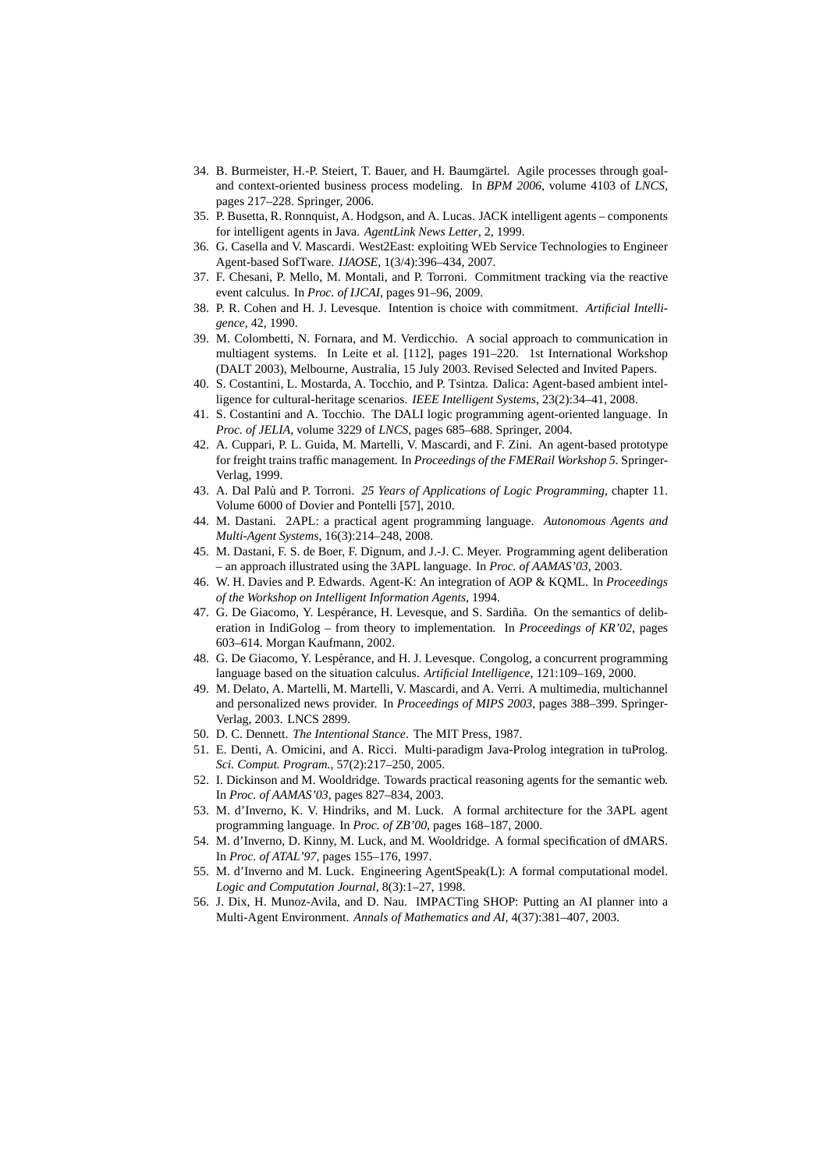- 34. B. Burmeister, H.-P. Steiert, T. Bauer, and H. Baumgartel. Agile processes through goal- ¨ and context-oriented business process modeling. In *BPM 2006*, volume 4103 of *LNCS*, pages 217–228. Springer, 2006.
- 35. P. Busetta, R. Ronnquist, A. Hodgson, and A. Lucas. JACK intelligent agents components for intelligent agents in Java. *AgentLink News Letter*, 2, 1999.
- 36. G. Casella and V. Mascardi. West2East: exploiting WEb Service Technologies to Engineer Agent-based SofTware. *IJAOSE*, 1(3/4):396–434, 2007.
- 37. F. Chesani, P. Mello, M. Montali, and P. Torroni. Commitment tracking via the reactive event calculus. In *Proc. of IJCAI*, pages 91–96, 2009.
- 38. P. R. Cohen and H. J. Levesque. Intention is choice with commitment. *Artificial Intelligence*, 42, 1990.
- 39. M. Colombetti, N. Fornara, and M. Verdicchio. A social approach to communication in multiagent systems. In Leite et al. [112], pages 191–220. 1st International Workshop (DALT 2003), Melbourne, Australia, 15 July 2003. Revised Selected and Invited Papers.
- 40. S. Costantini, L. Mostarda, A. Tocchio, and P. Tsintza. Dalica: Agent-based ambient intelligence for cultural-heritage scenarios. *IEEE Intelligent Systems*, 23(2):34–41, 2008.
- 41. S. Costantini and A. Tocchio. The DALI logic programming agent-oriented language. In *Proc. of JELIA*, volume 3229 of *LNCS*, pages 685–688. Springer, 2004.
- 42. A. Cuppari, P. L. Guida, M. Martelli, V. Mascardi, and F. Zini. An agent-based prototype for freight trains traffic management. In *Proceedings of the FMERail Workshop 5.* Springer-Verlag, 1999.
- 43. A. Dal Palu and P. Torroni. ` *25 Years of Applications of Logic Programming*, chapter 11. Volume 6000 of Dovier and Pontelli [57], 2010.
- 44. M. Dastani. 2APL: a practical agent programming language. *Autonomous Agents and Multi-Agent Systems*, 16(3):214–248, 2008.
- 45. M. Dastani, F. S. de Boer, F. Dignum, and J.-J. C. Meyer. Programming agent deliberation – an approach illustrated using the 3APL language. In *Proc. of AAMAS'03*, 2003.
- 46. W. H. Davies and P. Edwards. Agent-K: An integration of AOP & KQML. In *Proceedings of the Workshop on Intelligent Information Agents*, 1994.
- 47. G. De Giacomo, Y. Lespérance, H. Levesque, and S. Sardiña. On the semantics of deliberation in IndiGolog – from theory to implementation. In *Proceedings of KR'02*, pages 603–614. Morgan Kaufmann, 2002.
- 48. G. De Giacomo, Y. Lespérance, and H. J. Levesque. Congolog, a concurrent programming language based on the situation calculus. *Artificial Intelligence*, 121:109–169, 2000.
- 49. M. Delato, A. Martelli, M. Martelli, V. Mascardi, and A. Verri. A multimedia, multichannel and personalized news provider. In *Proceedings of MIPS 2003*, pages 388–399. Springer-Verlag, 2003. LNCS 2899.
- 50. D. C. Dennett. *The Intentional Stance*. The MIT Press, 1987.
- 51. E. Denti, A. Omicini, and A. Ricci. Multi-paradigm Java-Prolog integration in tuProlog. *Sci. Comput. Program.*, 57(2):217–250, 2005.
- 52. I. Dickinson and M. Wooldridge. Towards practical reasoning agents for the semantic web. In *Proc. of AAMAS'03*, pages 827–834, 2003.
- 53. M. d'Inverno, K. V. Hindriks, and M. Luck. A formal architecture for the 3APL agent programming language. In *Proc. of ZB'00*, pages 168–187, 2000.
- 54. M. d'Inverno, D. Kinny, M. Luck, and M. Wooldridge. A formal specification of dMARS. In *Proc. of ATAL'97*, pages 155–176, 1997.
- 55. M. d'Inverno and M. Luck. Engineering AgentSpeak(L): A formal computational model. *Logic and Computation Journal*, 8(3):1–27, 1998.
- 56. J. Dix, H. Munoz-Avila, and D. Nau. IMPACTing SHOP: Putting an AI planner into a Multi-Agent Environment. *Annals of Mathematics and AI*, 4(37):381–407, 2003.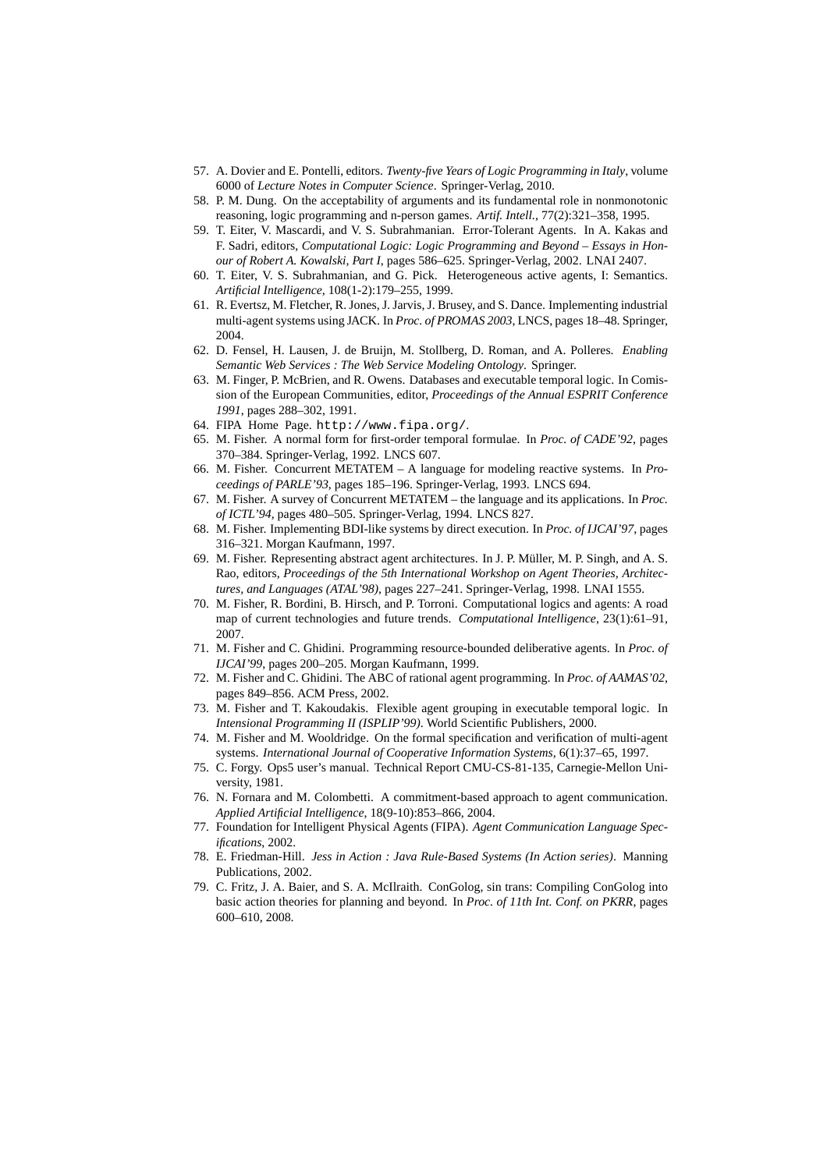- 57. A. Dovier and E. Pontelli, editors. *Twenty-five Years of Logic Programming in Italy*, volume 6000 of *Lecture Notes in Computer Science*. Springer-Verlag, 2010.
- 58. P. M. Dung. On the acceptability of arguments and its fundamental role in nonmonotonic reasoning, logic programming and n-person games. *Artif. Intell.*, 77(2):321–358, 1995.
- 59. T. Eiter, V. Mascardi, and V. S. Subrahmanian. Error-Tolerant Agents. In A. Kakas and F. Sadri, editors, *Computational Logic: Logic Programming and Beyond – Essays in Honour of Robert A. Kowalski, Part I*, pages 586–625. Springer-Verlag, 2002. LNAI 2407.
- 60. T. Eiter, V. S. Subrahmanian, and G. Pick. Heterogeneous active agents, I: Semantics. *Artificial Intelligence*, 108(1-2):179–255, 1999.
- 61. R. Evertsz, M. Fletcher, R. Jones, J. Jarvis, J. Brusey, and S. Dance. Implementing industrial multi-agent systems using JACK. In *Proc. of PROMAS 2003*, LNCS, pages 18–48. Springer, 2004.
- 62. D. Fensel, H. Lausen, J. de Bruijn, M. Stollberg, D. Roman, and A. Polleres. *Enabling Semantic Web Services : The Web Service Modeling Ontology*. Springer.
- 63. M. Finger, P. McBrien, and R. Owens. Databases and executable temporal logic. In Comission of the European Communities, editor, *Proceedings of the Annual ESPRIT Conference 1991*, pages 288–302, 1991.
- 64. FIPA Home Page. http://www.fipa.org/.
- 65. M. Fisher. A normal form for first-order temporal formulae. In *Proc. of CADE'92*, pages 370–384. Springer-Verlag, 1992. LNCS 607.
- 66. M. Fisher. Concurrent METATEM A language for modeling reactive systems. In *Proceedings of PARLE'93*, pages 185–196. Springer-Verlag, 1993. LNCS 694.
- 67. M. Fisher. A survey of Concurrent METATEM the language and its applications. In *Proc. of ICTL'94*, pages 480–505. Springer-Verlag, 1994. LNCS 827.
- 68. M. Fisher. Implementing BDI-like systems by direct execution. In *Proc. of IJCAI'97*, pages 316–321. Morgan Kaufmann, 1997.
- 69. M. Fisher. Representing abstract agent architectures. In J. P. Müller, M. P. Singh, and A. S. Rao, editors, *Proceedings of the 5th International Workshop on Agent Theories, Architectures, and Languages (ATAL'98)*, pages 227–241. Springer-Verlag, 1998. LNAI 1555.
- 70. M. Fisher, R. Bordini, B. Hirsch, and P. Torroni. Computational logics and agents: A road map of current technologies and future trends. *Computational Intelligence*, 23(1):61–91, 2007.
- 71. M. Fisher and C. Ghidini. Programming resource-bounded deliberative agents. In *Proc. of IJCAI'99*, pages 200–205. Morgan Kaufmann, 1999.
- 72. M. Fisher and C. Ghidini. The ABC of rational agent programming. In *Proc. of AAMAS'02*, pages 849–856. ACM Press, 2002.
- 73. M. Fisher and T. Kakoudakis. Flexible agent grouping in executable temporal logic. In *Intensional Programming II (ISPLIP'99)*. World Scientific Publishers, 2000.
- 74. M. Fisher and M. Wooldridge. On the formal specification and verification of multi-agent systems. *International Journal of Cooperative Information Systems*, 6(1):37–65, 1997.
- 75. C. Forgy. Ops5 user's manual. Technical Report CMU-CS-81-135, Carnegie-Mellon University, 1981.
- 76. N. Fornara and M. Colombetti. A commitment-based approach to agent communication. *Applied Artificial Intelligence*, 18(9-10):853–866, 2004.
- 77. Foundation for Intelligent Physical Agents (FIPA). *Agent Communication Language Specifications*, 2002.
- 78. E. Friedman-Hill. *Jess in Action : Java Rule-Based Systems (In Action series)*. Manning Publications, 2002.
- 79. C. Fritz, J. A. Baier, and S. A. McIlraith. ConGolog, sin trans: Compiling ConGolog into basic action theories for planning and beyond. In *Proc. of 11th Int. Conf. on PKRR*, pages 600–610, 2008.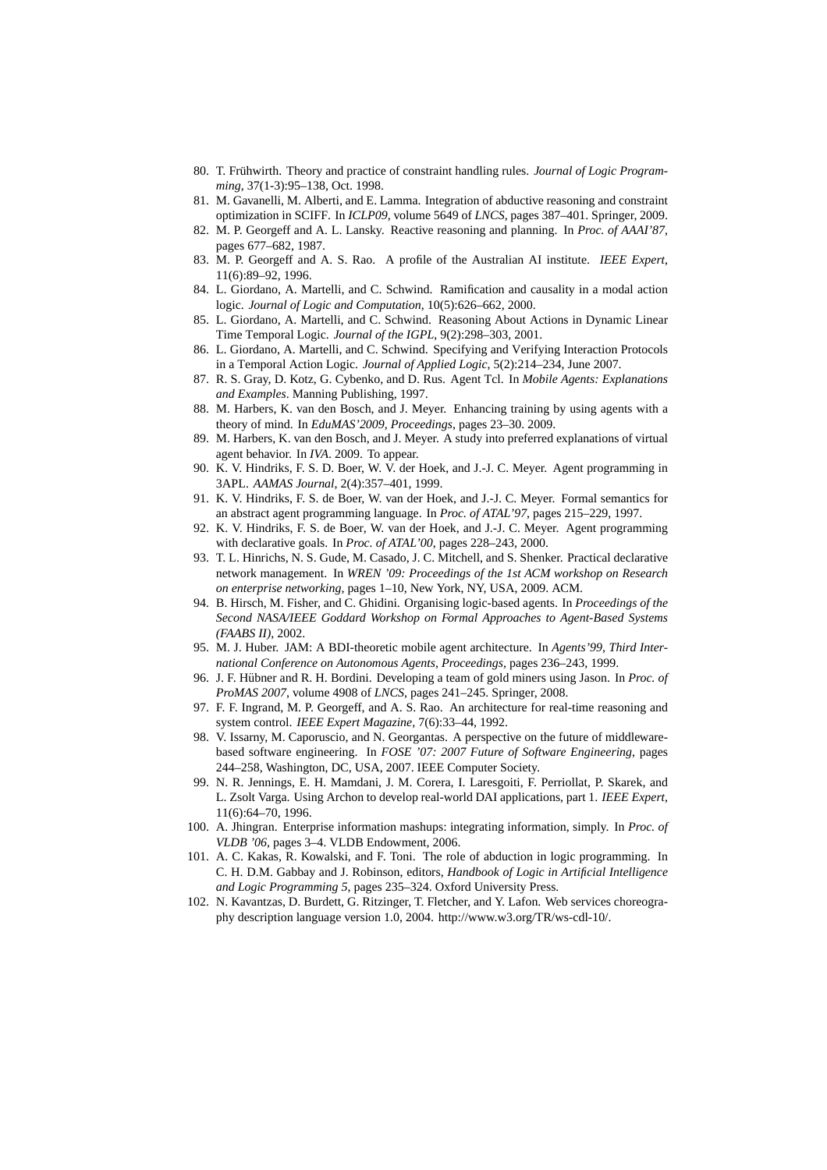- 80. T. Frühwirth. Theory and practice of constraint handling rules. *Journal of Logic Programming*, 37(1-3):95–138, Oct. 1998.
- 81. M. Gavanelli, M. Alberti, and E. Lamma. Integration of abductive reasoning and constraint optimization in SCIFF. In *ICLP09*, volume 5649 of *LNCS*, pages 387–401. Springer, 2009.
- 82. M. P. Georgeff and A. L. Lansky. Reactive reasoning and planning. In *Proc. of AAAI'87*, pages 677–682, 1987.
- 83. M. P. Georgeff and A. S. Rao. A profile of the Australian AI institute. *IEEE Expert*, 11(6):89–92, 1996.
- 84. L. Giordano, A. Martelli, and C. Schwind. Ramification and causality in a modal action logic. *Journal of Logic and Computation*, 10(5):626–662, 2000.
- 85. L. Giordano, A. Martelli, and C. Schwind. Reasoning About Actions in Dynamic Linear Time Temporal Logic. *Journal of the IGPL*, 9(2):298–303, 2001.
- 86. L. Giordano, A. Martelli, and C. Schwind. Specifying and Verifying Interaction Protocols in a Temporal Action Logic. *Journal of Applied Logic*, 5(2):214–234, June 2007.
- 87. R. S. Gray, D. Kotz, G. Cybenko, and D. Rus. Agent Tcl. In *Mobile Agents: Explanations and Examples*. Manning Publishing, 1997.
- 88. M. Harbers, K. van den Bosch, and J. Meyer. Enhancing training by using agents with a theory of mind. In *EduMAS'2009, Proceedings*, pages 23–30. 2009.
- 89. M. Harbers, K. van den Bosch, and J. Meyer. A study into preferred explanations of virtual agent behavior. In *IVA*. 2009. To appear.
- 90. K. V. Hindriks, F. S. D. Boer, W. V. der Hoek, and J.-J. C. Meyer. Agent programming in 3APL. *AAMAS Journal*, 2(4):357–401, 1999.
- 91. K. V. Hindriks, F. S. de Boer, W. van der Hoek, and J.-J. C. Meyer. Formal semantics for an abstract agent programming language. In *Proc. of ATAL'97*, pages 215–229, 1997.
- 92. K. V. Hindriks, F. S. de Boer, W. van der Hoek, and J.-J. C. Meyer. Agent programming with declarative goals. In *Proc. of ATAL'00*, pages 228–243, 2000.
- 93. T. L. Hinrichs, N. S. Gude, M. Casado, J. C. Mitchell, and S. Shenker. Practical declarative network management. In *WREN '09: Proceedings of the 1st ACM workshop on Research on enterprise networking*, pages 1–10, New York, NY, USA, 2009. ACM.
- 94. B. Hirsch, M. Fisher, and C. Ghidini. Organising logic-based agents. In *Proceedings of the Second NASA/IEEE Goddard Workshop on Formal Approaches to Agent-Based Systems (FAABS II)*, 2002.
- 95. M. J. Huber. JAM: A BDI-theoretic mobile agent architecture. In *Agents'99, Third International Conference on Autonomous Agents, Proceedings*, pages 236–243, 1999.
- 96. J. F. Hübner and R. H. Bordini. Developing a team of gold miners using Jason. In *Proc. of ProMAS 2007*, volume 4908 of *LNCS*, pages 241–245. Springer, 2008.
- 97. F. F. Ingrand, M. P. Georgeff, and A. S. Rao. An architecture for real-time reasoning and system control. *IEEE Expert Magazine*, 7(6):33–44, 1992.
- 98. V. Issarny, M. Caporuscio, and N. Georgantas. A perspective on the future of middlewarebased software engineering. In *FOSE '07: 2007 Future of Software Engineering*, pages 244–258, Washington, DC, USA, 2007. IEEE Computer Society.
- 99. N. R. Jennings, E. H. Mamdani, J. M. Corera, I. Laresgoiti, F. Perriollat, P. Skarek, and L. Zsolt Varga. Using Archon to develop real-world DAI applications, part 1. *IEEE Expert*, 11(6):64–70, 1996.
- 100. A. Jhingran. Enterprise information mashups: integrating information, simply. In *Proc. of VLDB '06*, pages 3–4. VLDB Endowment, 2006.
- 101. A. C. Kakas, R. Kowalski, and F. Toni. The role of abduction in logic programming. In C. H. D.M. Gabbay and J. Robinson, editors, *Handbook of Logic in Artificial Intelligence and Logic Programming 5*, pages 235–324. Oxford University Press.
- 102. N. Kavantzas, D. Burdett, G. Ritzinger, T. Fletcher, and Y. Lafon. Web services choreography description language version 1.0, 2004. http://www.w3.org/TR/ws-cdl-10/.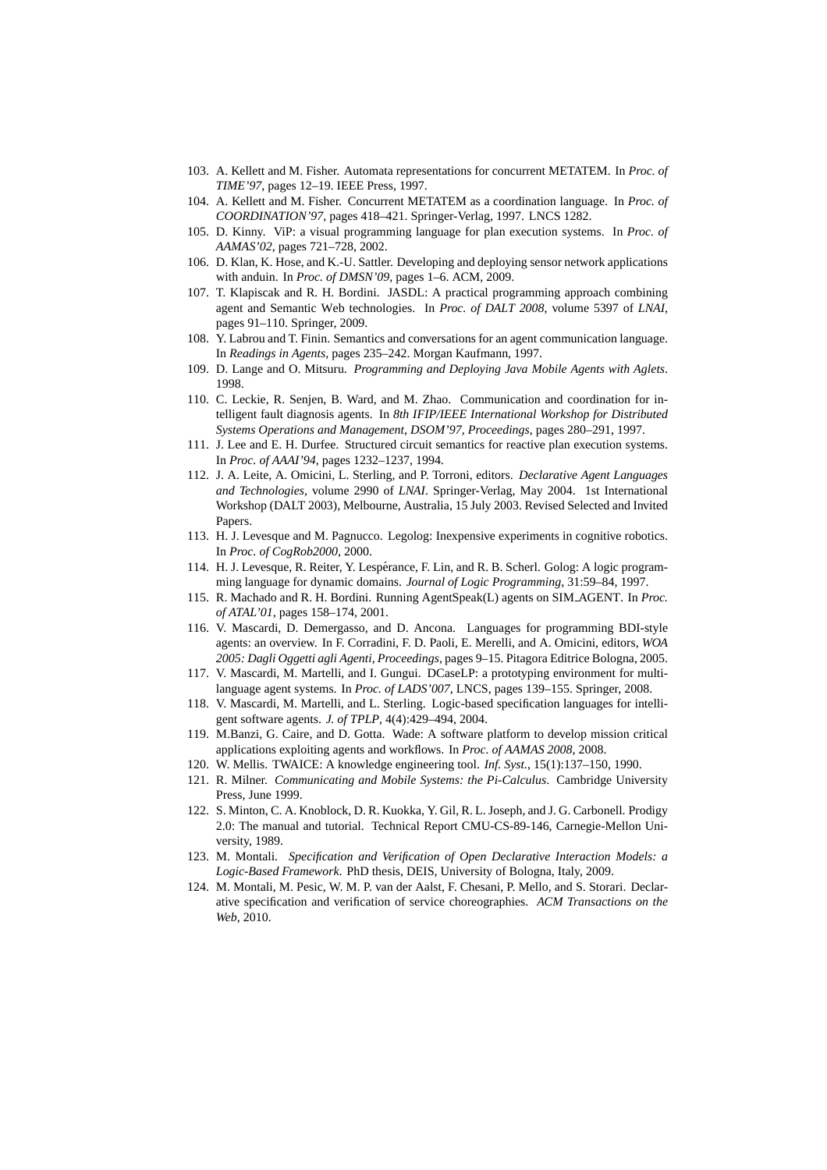- 103. A. Kellett and M. Fisher. Automata representations for concurrent METATEM. In *Proc. of TIME'97*, pages 12–19. IEEE Press, 1997.
- 104. A. Kellett and M. Fisher. Concurrent METATEM as a coordination language. In *Proc. of COORDINATION'97*, pages 418–421. Springer-Verlag, 1997. LNCS 1282.
- 105. D. Kinny. ViP: a visual programming language for plan execution systems. In *Proc. of AAMAS'02*, pages 721–728, 2002.
- 106. D. Klan, K. Hose, and K.-U. Sattler. Developing and deploying sensor network applications with anduin. In *Proc. of DMSN'09*, pages 1–6. ACM, 2009.
- 107. T. Klapiscak and R. H. Bordini. JASDL: A practical programming approach combining agent and Semantic Web technologies. In *Proc. of DALT 2008*, volume 5397 of *LNAI*, pages 91–110. Springer, 2009.
- 108. Y. Labrou and T. Finin. Semantics and conversations for an agent communication language. In *Readings in Agents*, pages 235–242. Morgan Kaufmann, 1997.
- 109. D. Lange and O. Mitsuru. *Programming and Deploying Java Mobile Agents with Aglets*. 1998.
- 110. C. Leckie, R. Senjen, B. Ward, and M. Zhao. Communication and coordination for intelligent fault diagnosis agents. In *8th IFIP/IEEE International Workshop for Distributed Systems Operations and Management, DSOM'97, Proceedings*, pages 280–291, 1997.
- 111. J. Lee and E. H. Durfee. Structured circuit semantics for reactive plan execution systems. In *Proc. of AAAI'94*, pages 1232–1237, 1994.
- 112. J. A. Leite, A. Omicini, L. Sterling, and P. Torroni, editors. *Declarative Agent Languages and Technologies*, volume 2990 of *LNAI*. Springer-Verlag, May 2004. 1st International Workshop (DALT 2003), Melbourne, Australia, 15 July 2003. Revised Selected and Invited Papers.
- 113. H. J. Levesque and M. Pagnucco. Legolog: Inexpensive experiments in cognitive robotics. In *Proc. of CogRob2000*, 2000.
- 114. H. J. Levesque, R. Reiter, Y. Lespérance, F. Lin, and R. B. Scherl. Golog: A logic programming language for dynamic domains. *Journal of Logic Programming*, 31:59–84, 1997.
- 115. R. Machado and R. H. Bordini. Running AgentSpeak(L) agents on SIM AGENT. In *Proc. of ATAL'01*, pages 158–174, 2001.
- 116. V. Mascardi, D. Demergasso, and D. Ancona. Languages for programming BDI-style agents: an overview. In F. Corradini, F. D. Paoli, E. Merelli, and A. Omicini, editors, *WOA 2005: Dagli Oggetti agli Agenti, Proceedings*, pages 9–15. Pitagora Editrice Bologna, 2005.
- 117. V. Mascardi, M. Martelli, and I. Gungui. DCaseLP: a prototyping environment for multilanguage agent systems. In *Proc. of LADS'007*, LNCS, pages 139–155. Springer, 2008.
- 118. V. Mascardi, M. Martelli, and L. Sterling. Logic-based specification languages for intelligent software agents. *J. of TPLP*, 4(4):429–494, 2004.
- 119. M.Banzi, G. Caire, and D. Gotta. Wade: A software platform to develop mission critical applications exploiting agents and workflows. In *Proc. of AAMAS 2008*, 2008.
- 120. W. Mellis. TWAICE: A knowledge engineering tool. *Inf. Syst.*, 15(1):137–150, 1990.
- 121. R. Milner. *Communicating and Mobile Systems: the Pi-Calculus*. Cambridge University Press, June 1999.
- 122. S. Minton, C. A. Knoblock, D. R. Kuokka, Y. Gil, R. L. Joseph, and J. G. Carbonell. Prodigy 2.0: The manual and tutorial. Technical Report CMU-CS-89-146, Carnegie-Mellon University, 1989.
- 123. M. Montali. *Specification and Verification of Open Declarative Interaction Models: a Logic-Based Framework*. PhD thesis, DEIS, University of Bologna, Italy, 2009.
- 124. M. Montali, M. Pesic, W. M. P. van der Aalst, F. Chesani, P. Mello, and S. Storari. Declarative specification and verification of service choreographies. *ACM Transactions on the Web*, 2010.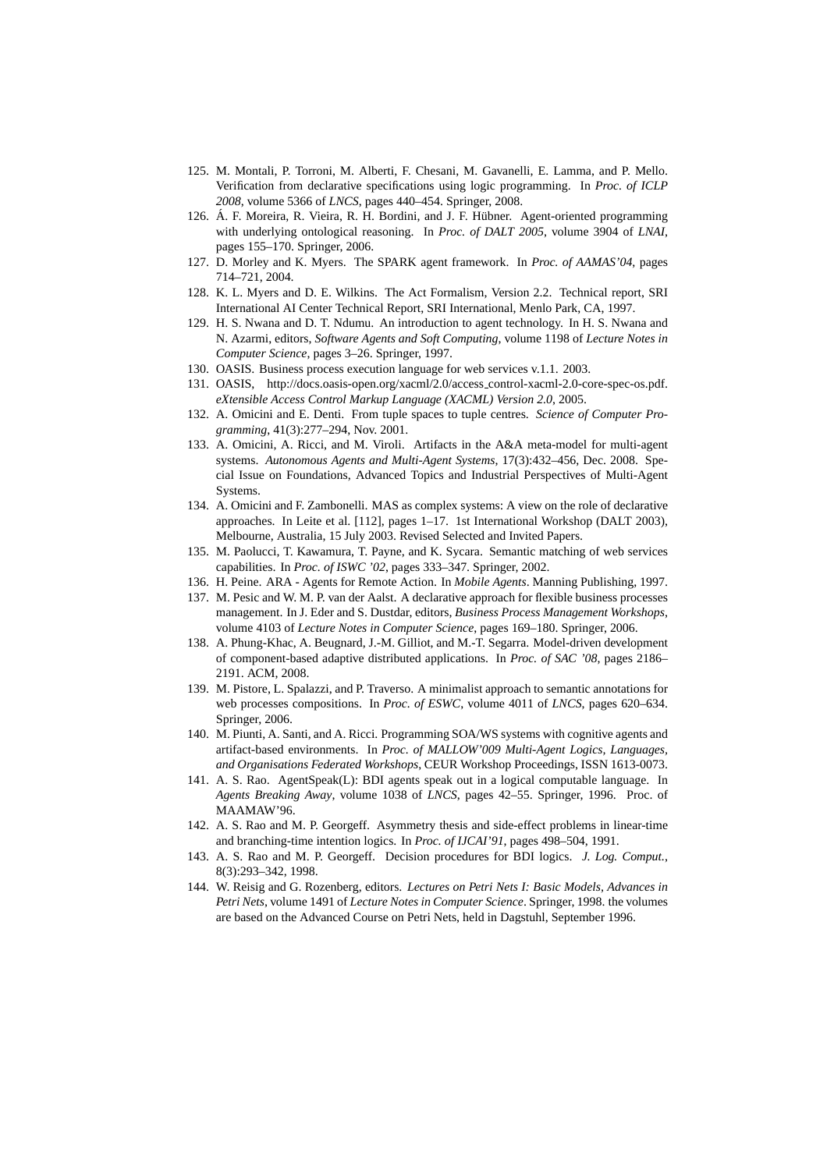- 125. M. Montali, P. Torroni, M. Alberti, F. Chesani, M. Gavanelli, E. Lamma, and P. Mello. Verification from declarative specifications using logic programming. In *Proc. of ICLP 2008*, volume 5366 of *LNCS*, pages 440–454. Springer, 2008.
- 126. Á. F. Moreira, R. Vieira, R. H. Bordini, and J. F. Hübner. Agent-oriented programming with underlying ontological reasoning. In *Proc. of DALT 2005*, volume 3904 of *LNAI*, pages 155–170. Springer, 2006.
- 127. D. Morley and K. Myers. The SPARK agent framework. In *Proc. of AAMAS'04*, pages 714–721, 2004.
- 128. K. L. Myers and D. E. Wilkins. The Act Formalism, Version 2.2. Technical report, SRI International AI Center Technical Report, SRI International, Menlo Park, CA, 1997.
- 129. H. S. Nwana and D. T. Ndumu. An introduction to agent technology. In H. S. Nwana and N. Azarmi, editors, *Software Agents and Soft Computing*, volume 1198 of *Lecture Notes in Computer Science*, pages 3–26. Springer, 1997.
- 130. OASIS. Business process execution language for web services v.1.1. 2003.
- 131. OASIS, http://docs.oasis-open.org/xacml/2.0/access control-xacml-2.0-core-spec-os.pdf. *eXtensible Access Control Markup Language (XACML) Version 2.0*, 2005.
- 132. A. Omicini and E. Denti. From tuple spaces to tuple centres. *Science of Computer Programming*, 41(3):277–294, Nov. 2001.
- 133. A. Omicini, A. Ricci, and M. Viroli. Artifacts in the A&A meta-model for multi-agent systems. *Autonomous Agents and Multi-Agent Systems*, 17(3):432–456, Dec. 2008. Special Issue on Foundations, Advanced Topics and Industrial Perspectives of Multi-Agent Systems.
- 134. A. Omicini and F. Zambonelli. MAS as complex systems: A view on the role of declarative approaches. In Leite et al. [112], pages 1–17. 1st International Workshop (DALT 2003), Melbourne, Australia, 15 July 2003. Revised Selected and Invited Papers.
- 135. M. Paolucci, T. Kawamura, T. Payne, and K. Sycara. Semantic matching of web services capabilities. In *Proc. of ISWC '02*, pages 333–347. Springer, 2002.
- 136. H. Peine. ARA Agents for Remote Action. In *Mobile Agents*. Manning Publishing, 1997.
- 137. M. Pesic and W. M. P. van der Aalst. A declarative approach for flexible business processes management. In J. Eder and S. Dustdar, editors, *Business Process Management Workshops*, volume 4103 of *Lecture Notes in Computer Science*, pages 169–180. Springer, 2006.
- 138. A. Phung-Khac, A. Beugnard, J.-M. Gilliot, and M.-T. Segarra. Model-driven development of component-based adaptive distributed applications. In *Proc. of SAC '08*, pages 2186– 2191. ACM, 2008.
- 139. M. Pistore, L. Spalazzi, and P. Traverso. A minimalist approach to semantic annotations for web processes compositions. In *Proc. of ESWC*, volume 4011 of *LNCS*, pages 620–634. Springer, 2006.
- 140. M. Piunti, A. Santi, and A. Ricci. Programming SOA/WS systems with cognitive agents and artifact-based environments. In *Proc. of MALLOW'009 Multi-Agent Logics, Languages, and Organisations Federated Workshops*, CEUR Workshop Proceedings, ISSN 1613-0073.
- 141. A. S. Rao. AgentSpeak(L): BDI agents speak out in a logical computable language. In *Agents Breaking Away*, volume 1038 of *LNCS*, pages 42–55. Springer, 1996. Proc. of MAAMAW'96.
- 142. A. S. Rao and M. P. Georgeff. Asymmetry thesis and side-effect problems in linear-time and branching-time intention logics. In *Proc. of IJCAI'91*, pages 498–504, 1991.
- 143. A. S. Rao and M. P. Georgeff. Decision procedures for BDI logics. *J. Log. Comput.*, 8(3):293–342, 1998.
- 144. W. Reisig and G. Rozenberg, editors. *Lectures on Petri Nets I: Basic Models, Advances in Petri Nets*, volume 1491 of *Lecture Notes in Computer Science*. Springer, 1998. the volumes are based on the Advanced Course on Petri Nets, held in Dagstuhl, September 1996.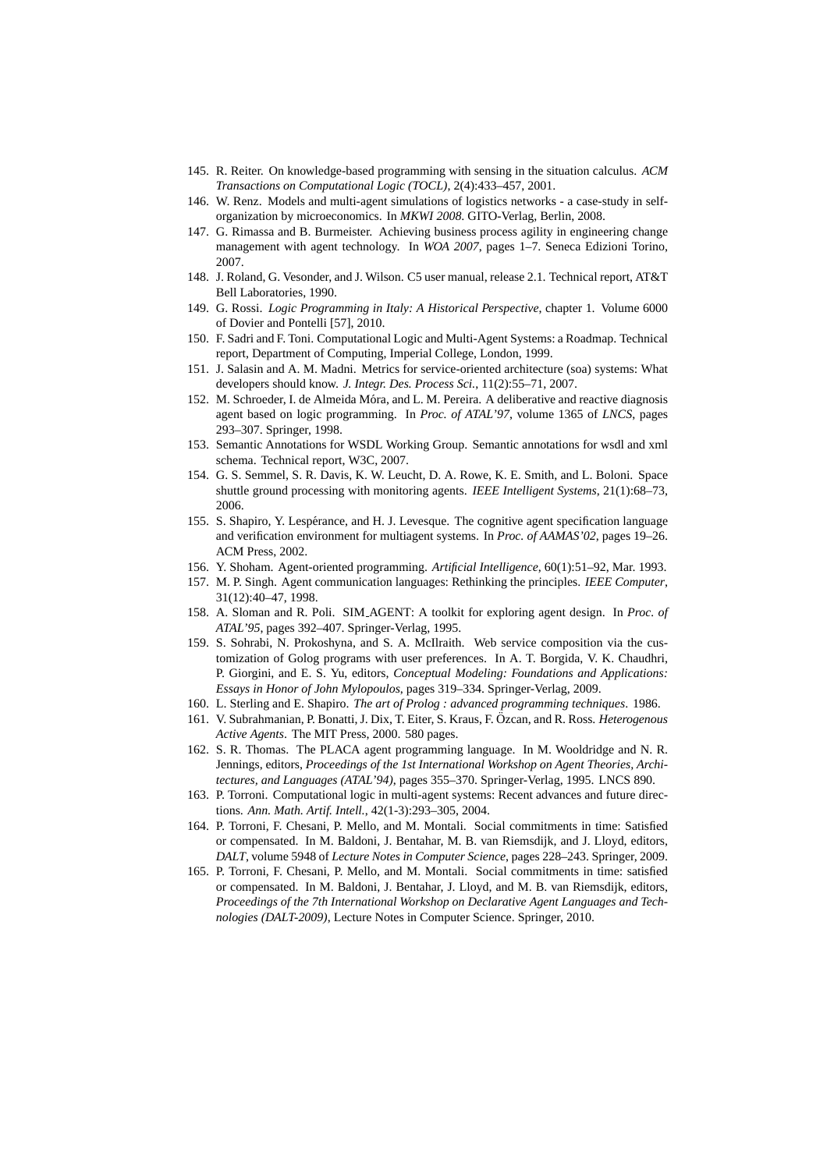- 145. R. Reiter. On knowledge-based programming with sensing in the situation calculus. *ACM Transactions on Computational Logic (TOCL)*, 2(4):433–457, 2001.
- 146. W. Renz. Models and multi-agent simulations of logistics networks a case-study in selforganization by microeconomics. In *MKWI 2008*. GITO-Verlag, Berlin, 2008.
- 147. G. Rimassa and B. Burmeister. Achieving business process agility in engineering change management with agent technology. In *WOA 2007*, pages 1–7. Seneca Edizioni Torino, 2007.
- 148. J. Roland, G. Vesonder, and J. Wilson. C5 user manual, release 2.1. Technical report, AT&T Bell Laboratories, 1990.
- 149. G. Rossi. *Logic Programming in Italy: A Historical Perspective*, chapter 1. Volume 6000 of Dovier and Pontelli [57], 2010.
- 150. F. Sadri and F. Toni. Computational Logic and Multi-Agent Systems: a Roadmap. Technical report, Department of Computing, Imperial College, London, 1999.
- 151. J. Salasin and A. M. Madni. Metrics for service-oriented architecture (soa) systems: What developers should know. *J. Integr. Des. Process Sci.*, 11(2):55–71, 2007.
- 152. M. Schroeder, I. de Almeida Mora, and L. M. Pereira. A deliberative and reactive diagnosis ´ agent based on logic programming. In *Proc. of ATAL'97*, volume 1365 of *LNCS*, pages 293–307. Springer, 1998.
- 153. Semantic Annotations for WSDL Working Group. Semantic annotations for wsdl and xml schema. Technical report, W3C, 2007.
- 154. G. S. Semmel, S. R. Davis, K. W. Leucht, D. A. Rowe, K. E. Smith, and L. Boloni. Space shuttle ground processing with monitoring agents. *IEEE Intelligent Systems*, 21(1):68–73, 2006.
- 155. S. Shapiro, Y. Lespérance, and H. J. Levesque. The cognitive agent specification language and verification environment for multiagent systems. In *Proc. of AAMAS'02*, pages 19–26. ACM Press, 2002.
- 156. Y. Shoham. Agent-oriented programming. *Artificial Intelligence*, 60(1):51–92, Mar. 1993.
- 157. M. P. Singh. Agent communication languages: Rethinking the principles. *IEEE Computer*, 31(12):40–47, 1998.
- 158. A. Sloman and R. Poli. SIM AGENT: A toolkit for exploring agent design. In *Proc. of ATAL'95*, pages 392–407. Springer-Verlag, 1995.
- 159. S. Sohrabi, N. Prokoshyna, and S. A. McIlraith. Web service composition via the customization of Golog programs with user preferences. In A. T. Borgida, V. K. Chaudhri, P. Giorgini, and E. S. Yu, editors, *Conceptual Modeling: Foundations and Applications: Essays in Honor of John Mylopoulos*, pages 319–334. Springer-Verlag, 2009.
- 160. L. Sterling and E. Shapiro. *The art of Prolog : advanced programming techniques*. 1986.
- 161. V. Subrahmanian, P. Bonatti, J. Dix, T. Eiter, S. Kraus, F. Özcan, and R. Ross. *Heterogenous Active Agents*. The MIT Press, 2000. 580 pages.
- 162. S. R. Thomas. The PLACA agent programming language. In M. Wooldridge and N. R. Jennings, editors, *Proceedings of the 1st International Workshop on Agent Theories, Architectures, and Languages (ATAL'94)*, pages 355–370. Springer-Verlag, 1995. LNCS 890.
- 163. P. Torroni. Computational logic in multi-agent systems: Recent advances and future directions. *Ann. Math. Artif. Intell.*, 42(1-3):293–305, 2004.
- 164. P. Torroni, F. Chesani, P. Mello, and M. Montali. Social commitments in time: Satisfied or compensated. In M. Baldoni, J. Bentahar, M. B. van Riemsdijk, and J. Lloyd, editors, *DALT*, volume 5948 of *Lecture Notes in Computer Science*, pages 228–243. Springer, 2009.
- 165. P. Torroni, F. Chesani, P. Mello, and M. Montali. Social commitments in time: satisfied or compensated. In M. Baldoni, J. Bentahar, J. Lloyd, and M. B. van Riemsdijk, editors, *Proceedings of the 7th International Workshop on Declarative Agent Languages and Technologies (DALT-2009)*, Lecture Notes in Computer Science. Springer, 2010.